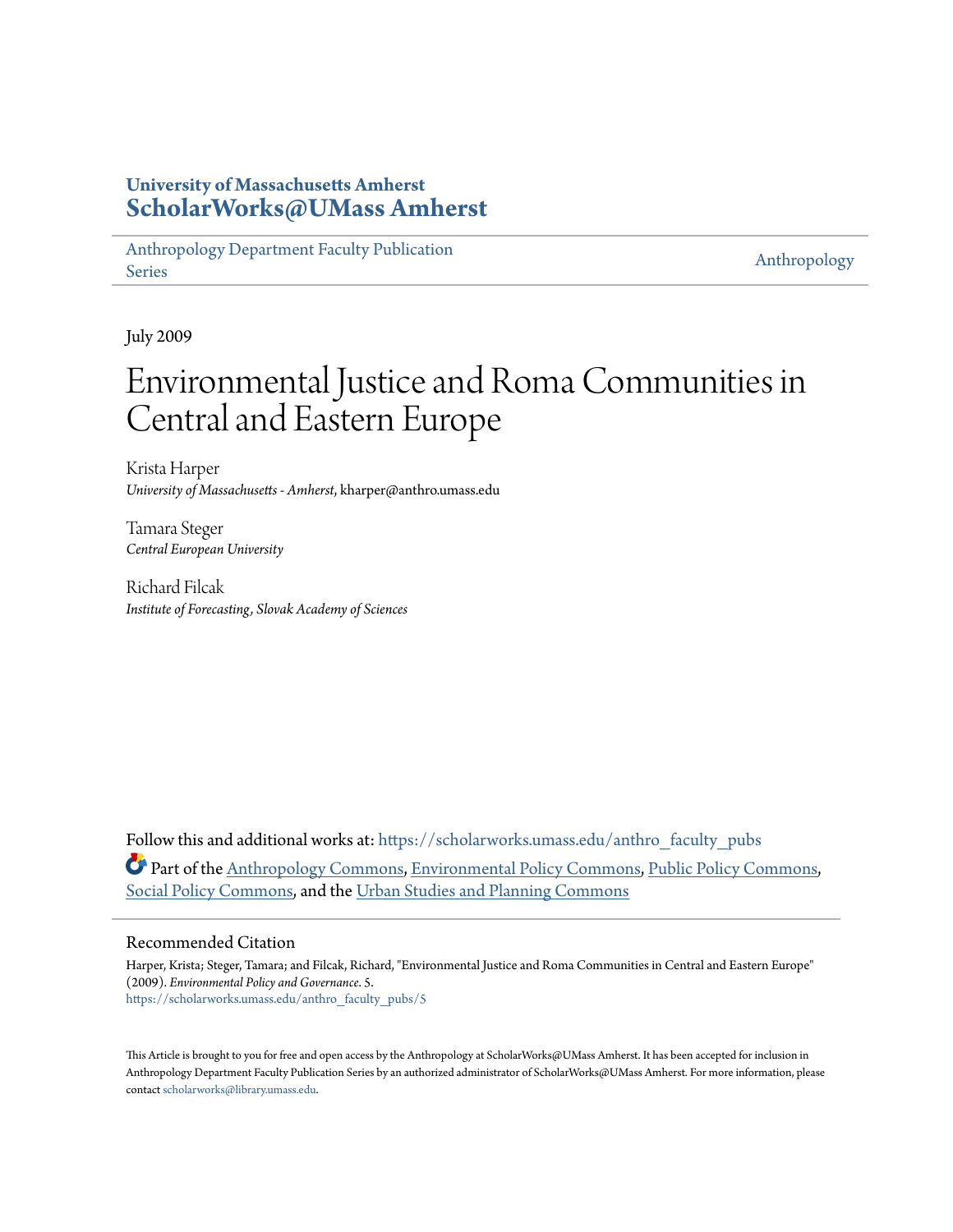# **University of Massachusetts Amherst [ScholarWorks@UMass Amherst](https://scholarworks.umass.edu?utm_source=scholarworks.umass.edu%2Fanthro_faculty_pubs%2F5&utm_medium=PDF&utm_campaign=PDFCoverPages)**

[Anthropology Department Faculty Publication](https://scholarworks.umass.edu/anthro_faculty_pubs?utm_source=scholarworks.umass.edu%2Fanthro_faculty_pubs%2F5&utm_medium=PDF&utm_campaign=PDFCoverPages) [Series](https://scholarworks.umass.edu/anthro_faculty_pubs?utm_source=scholarworks.umass.edu%2Fanthro_faculty_pubs%2F5&utm_medium=PDF&utm_campaign=PDFCoverPages)

[Anthropology](https://scholarworks.umass.edu/anthro?utm_source=scholarworks.umass.edu%2Fanthro_faculty_pubs%2F5&utm_medium=PDF&utm_campaign=PDFCoverPages)

July 2009

# Environmental Justice and Roma Communities in Central and Eastern Europe

Krista Harper *University of Massachusetts - Amherst*, kharper@anthro.umass.edu

Tamara Steger *Central European University*

Richard Filcak *Institute of Forecasting, Slovak Academy of Sciences*

Follow this and additional works at: [https://scholarworks.umass.edu/anthro\\_faculty\\_pubs](https://scholarworks.umass.edu/anthro_faculty_pubs?utm_source=scholarworks.umass.edu%2Fanthro_faculty_pubs%2F5&utm_medium=PDF&utm_campaign=PDFCoverPages) Part of the [Anthropology Commons](http://network.bepress.com/hgg/discipline/318?utm_source=scholarworks.umass.edu%2Fanthro_faculty_pubs%2F5&utm_medium=PDF&utm_campaign=PDFCoverPages), [Environmental Policy Commons,](http://network.bepress.com/hgg/discipline/1027?utm_source=scholarworks.umass.edu%2Fanthro_faculty_pubs%2F5&utm_medium=PDF&utm_campaign=PDFCoverPages) [Public Policy Commons](http://network.bepress.com/hgg/discipline/400?utm_source=scholarworks.umass.edu%2Fanthro_faculty_pubs%2F5&utm_medium=PDF&utm_campaign=PDFCoverPages), [Social Policy Commons](http://network.bepress.com/hgg/discipline/1030?utm_source=scholarworks.umass.edu%2Fanthro_faculty_pubs%2F5&utm_medium=PDF&utm_campaign=PDFCoverPages), and the [Urban Studies and Planning Commons](http://network.bepress.com/hgg/discipline/436?utm_source=scholarworks.umass.edu%2Fanthro_faculty_pubs%2F5&utm_medium=PDF&utm_campaign=PDFCoverPages)

## Recommended Citation

Harper, Krista; Steger, Tamara; and Filcak, Richard, "Environmental Justice and Roma Communities in Central and Eastern Europe" (2009). *Environmental Policy and Governance*. 5. [https://scholarworks.umass.edu/anthro\\_faculty\\_pubs/5](https://scholarworks.umass.edu/anthro_faculty_pubs/5?utm_source=scholarworks.umass.edu%2Fanthro_faculty_pubs%2F5&utm_medium=PDF&utm_campaign=PDFCoverPages)

This Article is brought to you for free and open access by the Anthropology at ScholarWorks@UMass Amherst. It has been accepted for inclusion in Anthropology Department Faculty Publication Series by an authorized administrator of ScholarWorks@UMass Amherst. For more information, please contact [scholarworks@library.umass.edu](mailto:scholarworks@library.umass.edu).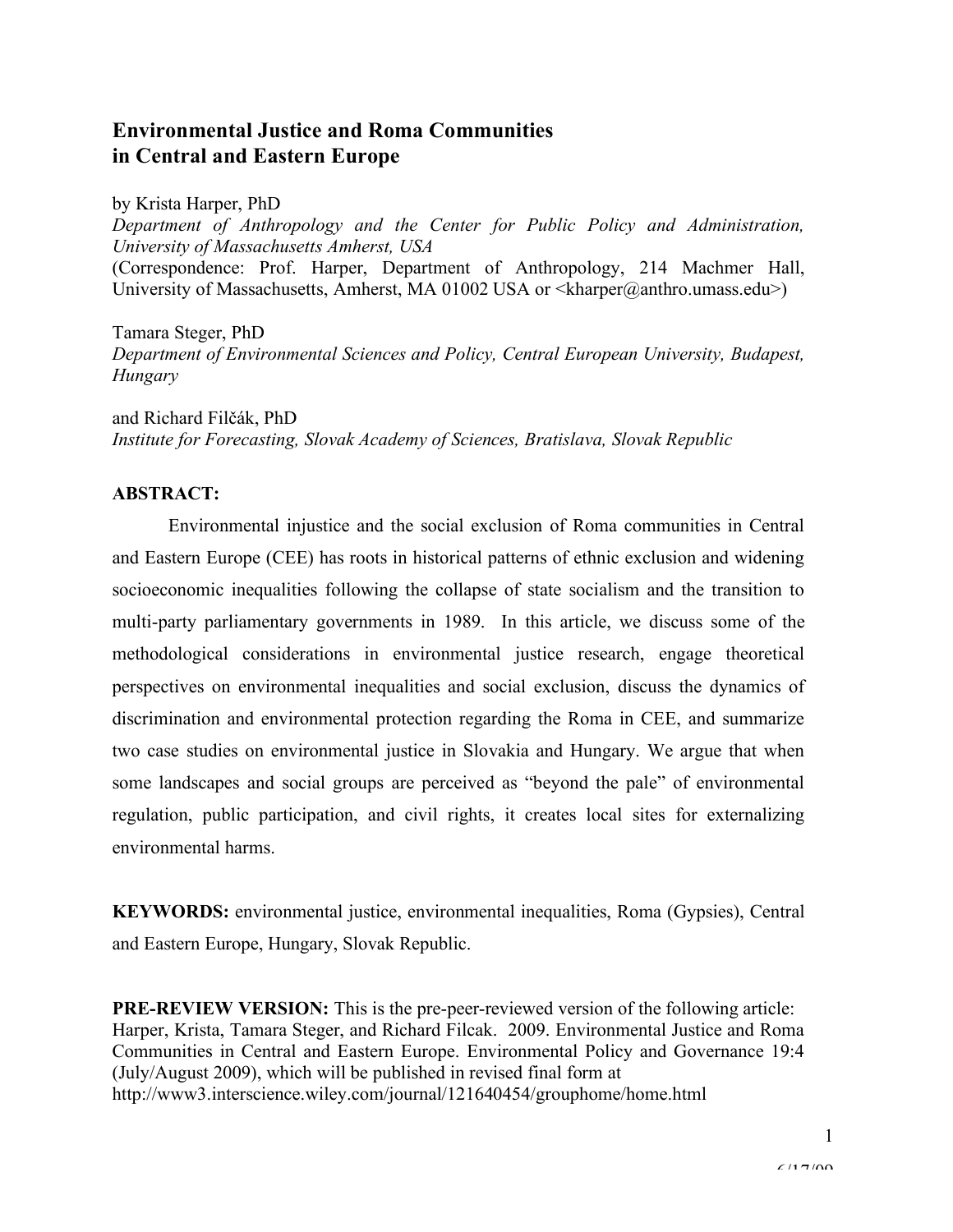# **Environmental Justice and Roma Communities in Central and Eastern Europe**

by Krista Harper, PhD *Department of Anthropology and the Center for Public Policy and Administration, University of Massachusetts Amherst, USA* (Correspondence: Prof. Harper, Department of Anthropology, 214 Machmer Hall, University of Massachusetts, Amherst, MA 01002 USA or  $\langle$ kharper@anthro.umass.edu>)

Tamara Steger, PhD *Department of Environmental Sciences and Policy, Central European University, Budapest, Hungary*

and Richard Filčák, PhD *Institute for Forecasting, Slovak Academy of Sciences, Bratislava, Slovak Republic*

# **ABSTRACT:**

Environmental injustice and the social exclusion of Roma communities in Central and Eastern Europe (CEE) has roots in historical patterns of ethnic exclusion and widening socioeconomic inequalities following the collapse of state socialism and the transition to multi-party parliamentary governments in 1989. In this article, we discuss some of the methodological considerations in environmental justice research, engage theoretical perspectives on environmental inequalities and social exclusion, discuss the dynamics of discrimination and environmental protection regarding the Roma in CEE, and summarize two case studies on environmental justice in Slovakia and Hungary. We argue that when some landscapes and social groups are perceived as "beyond the pale" of environmental regulation, public participation, and civil rights, it creates local sites for externalizing environmental harms.

**KEYWORDS:** environmental justice, environmental inequalities, Roma (Gypsies), Central and Eastern Europe, Hungary, Slovak Republic.

**PRE-REVIEW VERSION:** This is the pre-peer-reviewed version of the following article: Harper, Krista, Tamara Steger, and Richard Filcak. 2009. Environmental Justice and Roma Communities in Central and Eastern Europe. Environmental Policy and Governance 19:4 (July/August 2009), which will be published in revised final form at http://www3.interscience.wiley.com/journal/121640454/grouphome/home.html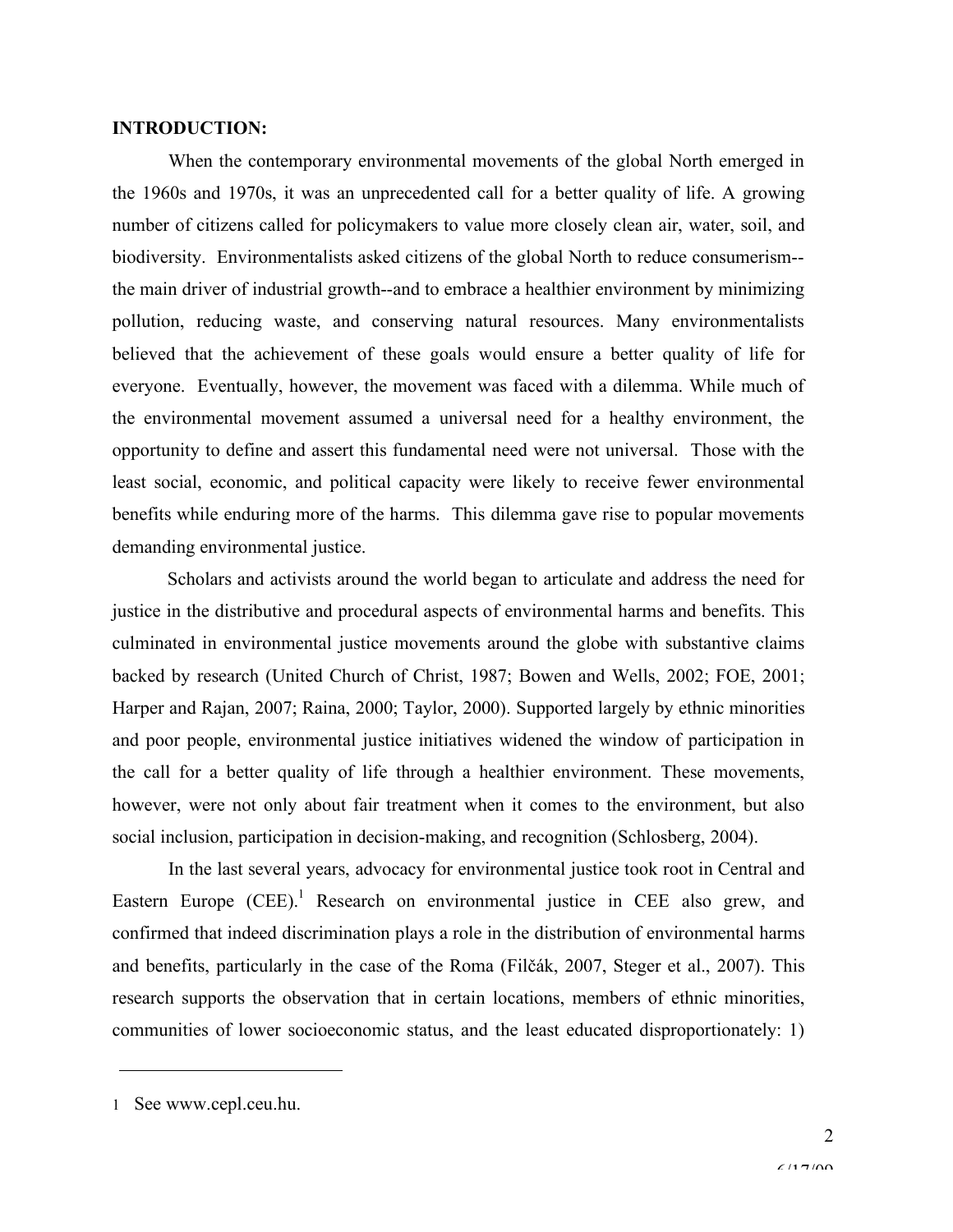# **INTRODUCTION:**

When the contemporary environmental movements of the global North emerged in the 1960s and 1970s, it was an unprecedented call for a better quality of life. A growing number of citizens called for policymakers to value more closely clean air, water, soil, and biodiversity. Environmentalists asked citizens of the global North to reduce consumerism- the main driver of industrial growth--and to embrace a healthier environment by minimizing pollution, reducing waste, and conserving natural resources. Many environmentalists believed that the achievement of these goals would ensure a better quality of life for everyone. Eventually, however, the movement was faced with a dilemma. While much of the environmental movement assumed a universal need for a healthy environment, the opportunity to define and assert this fundamental need were not universal. Those with the least social, economic, and political capacity were likely to receive fewer environmental benefits while enduring more of the harms. This dilemma gave rise to popular movements demanding environmental justice.

Scholars and activists around the world began to articulate and address the need for justice in the distributive and procedural aspects of environmental harms and benefits. This culminated in environmental justice movements around the globe with substantive claims backed by research (United Church of Christ, 1987; Bowen and Wells, 2002; FOE, 2001; Harper and Rajan, 2007; Raina, 2000; Taylor, 2000). Supported largely by ethnic minorities and poor people, environmental justice initiatives widened the window of participation in the call for a better quality of life through a healthier environment. These movements, however, were not only about fair treatment when it comes to the environment, but also social inclusion, participation in decision-making, and recognition (Schlosberg, 2004).

In the last several years, advocacy for environmental justice took root in Central and Eastern Europe (CEE).<sup>1</sup> Research on environmental justice in CEE also grew, and confirmed that indeed discrimination plays a role in the distribution of environmental harms and benefits, particularly in the case of the Roma (Filčák, 2007, Steger et al., 2007). This research supports the observation that in certain locations, members of ethnic minorities, communities of lower socioeconomic status, and the least educated disproportionately: 1)

 $\overline{a}$ 

<sup>1</sup> See www.cepl.ceu.hu.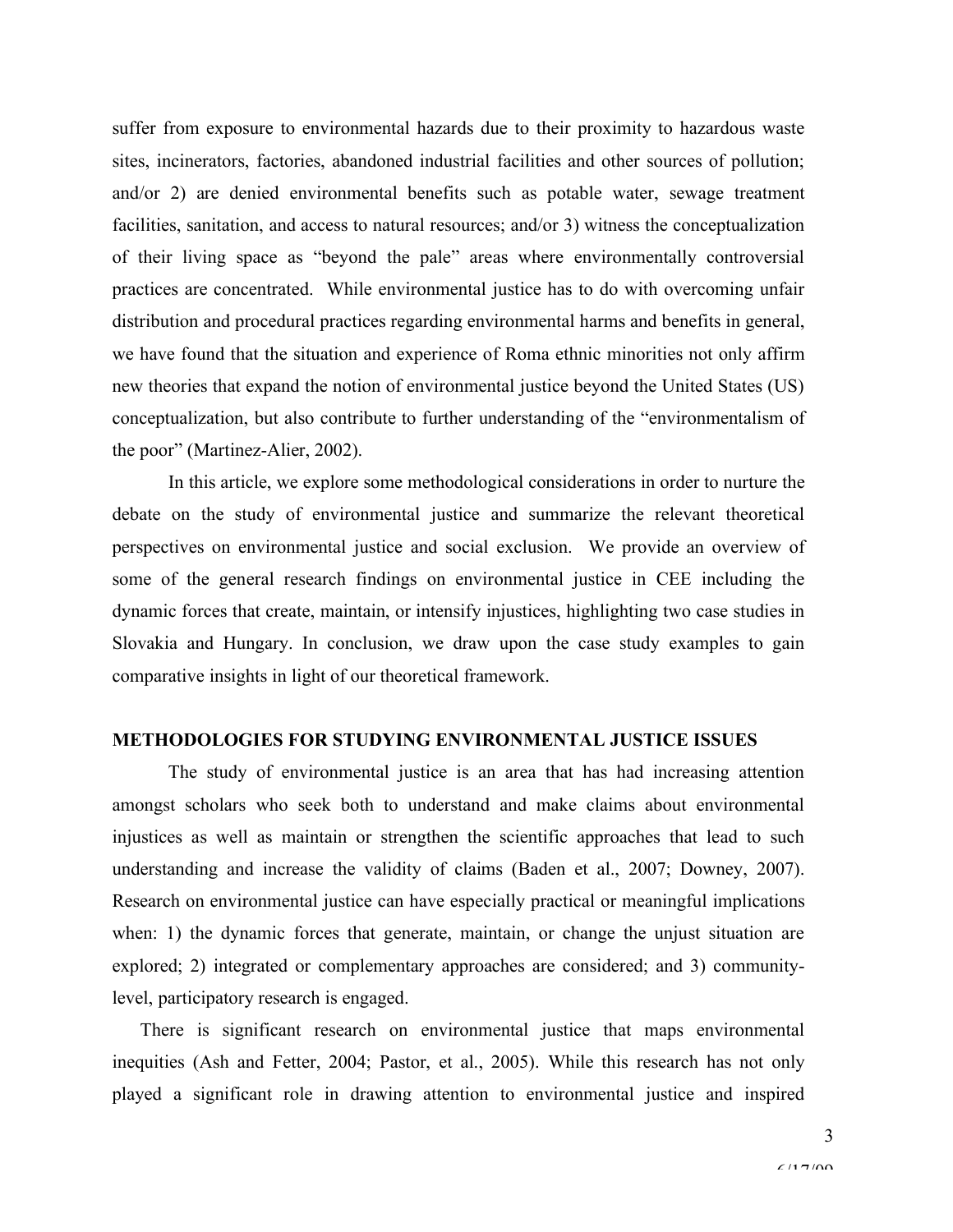suffer from exposure to environmental hazards due to their proximity to hazardous waste sites, incinerators, factories, abandoned industrial facilities and other sources of pollution; and/or 2) are denied environmental benefits such as potable water, sewage treatment facilities, sanitation, and access to natural resources; and/or 3) witness the conceptualization of their living space as "beyond the pale" areas where environmentally controversial practices are concentrated. While environmental justice has to do with overcoming unfair distribution and procedural practices regarding environmental harms and benefits in general, we have found that the situation and experience of Roma ethnic minorities not only affirm new theories that expand the notion of environmental justice beyond the United States (US) conceptualization, but also contribute to further understanding of the "environmentalism of the poor" (Martinez-Alier, 2002).

In this article, we explore some methodological considerations in order to nurture the debate on the study of environmental justice and summarize the relevant theoretical perspectives on environmental justice and social exclusion. We provide an overview of some of the general research findings on environmental justice in CEE including the dynamic forces that create, maintain, or intensify injustices, highlighting two case studies in Slovakia and Hungary. In conclusion, we draw upon the case study examples to gain comparative insights in light of our theoretical framework.

# **METHODOLOGIES FOR STUDYING ENVIRONMENTAL JUSTICE ISSUES**

The study of environmental justice is an area that has had increasing attention amongst scholars who seek both to understand and make claims about environmental injustices as well as maintain or strengthen the scientific approaches that lead to such understanding and increase the validity of claims (Baden et al., 2007; Downey, 2007). Research on environmental justice can have especially practical or meaningful implications when: 1) the dynamic forces that generate, maintain, or change the unjust situation are explored; 2) integrated or complementary approaches are considered; and 3) communitylevel, participatory research is engaged.

There is significant research on environmental justice that maps environmental inequities (Ash and Fetter, 2004; Pastor, et al., 2005). While this research has not only played a significant role in drawing attention to environmental justice and inspired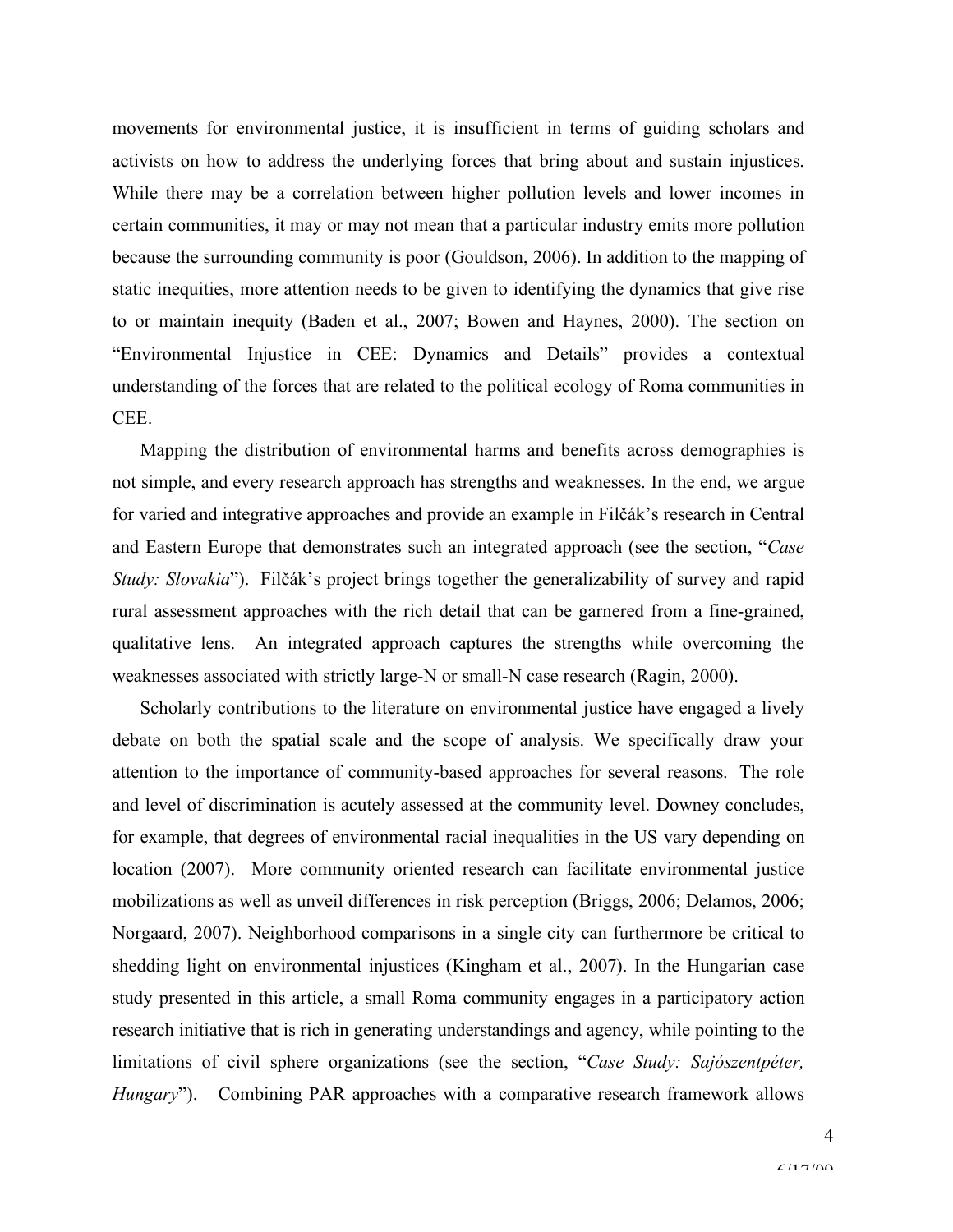movements for environmental justice, it is insufficient in terms of guiding scholars and activists on how to address the underlying forces that bring about and sustain injustices. While there may be a correlation between higher pollution levels and lower incomes in certain communities, it may or may not mean that a particular industry emits more pollution because the surrounding community is poor (Gouldson, 2006). In addition to the mapping of static inequities, more attention needs to be given to identifying the dynamics that give rise to or maintain inequity (Baden et al., 2007; Bowen and Haynes, 2000). The section on "Environmental Injustice in CEE: Dynamics and Details" provides a contextual understanding of the forces that are related to the political ecology of Roma communities in CEE.

Mapping the distribution of environmental harms and benefits across demographies is not simple, and every research approach has strengths and weaknesses. In the end, we argue for varied and integrative approaches and provide an example in Filčák's research in Central and Eastern Europe that demonstrates such an integrated approach (see the section, "*Case Study: Slovakia*"). Filčák's project brings together the generalizability of survey and rapid rural assessment approaches with the rich detail that can be garnered from a fine-grained, qualitative lens. An integrated approach captures the strengths while overcoming the weaknesses associated with strictly large-N or small-N case research (Ragin, 2000).

Scholarly contributions to the literature on environmental justice have engaged a lively debate on both the spatial scale and the scope of analysis. We specifically draw your attention to the importance of community-based approaches for several reasons. The role and level of discrimination is acutely assessed at the community level. Downey concludes, for example, that degrees of environmental racial inequalities in the US vary depending on location (2007). More community oriented research can facilitate environmental justice mobilizations as well as unveil differences in risk perception (Briggs, 2006; Delamos, 2006; Norgaard, 2007). Neighborhood comparisons in a single city can furthermore be critical to shedding light on environmental injustices (Kingham et al., 2007). In the Hungarian case study presented in this article, a small Roma community engages in a participatory action research initiative that is rich in generating understandings and agency, while pointing to the limitations of civil sphere organizations (see the section, "*Case Study: Sajószentpéter, Hungary*"). Combining PAR approaches with a comparative research framework allows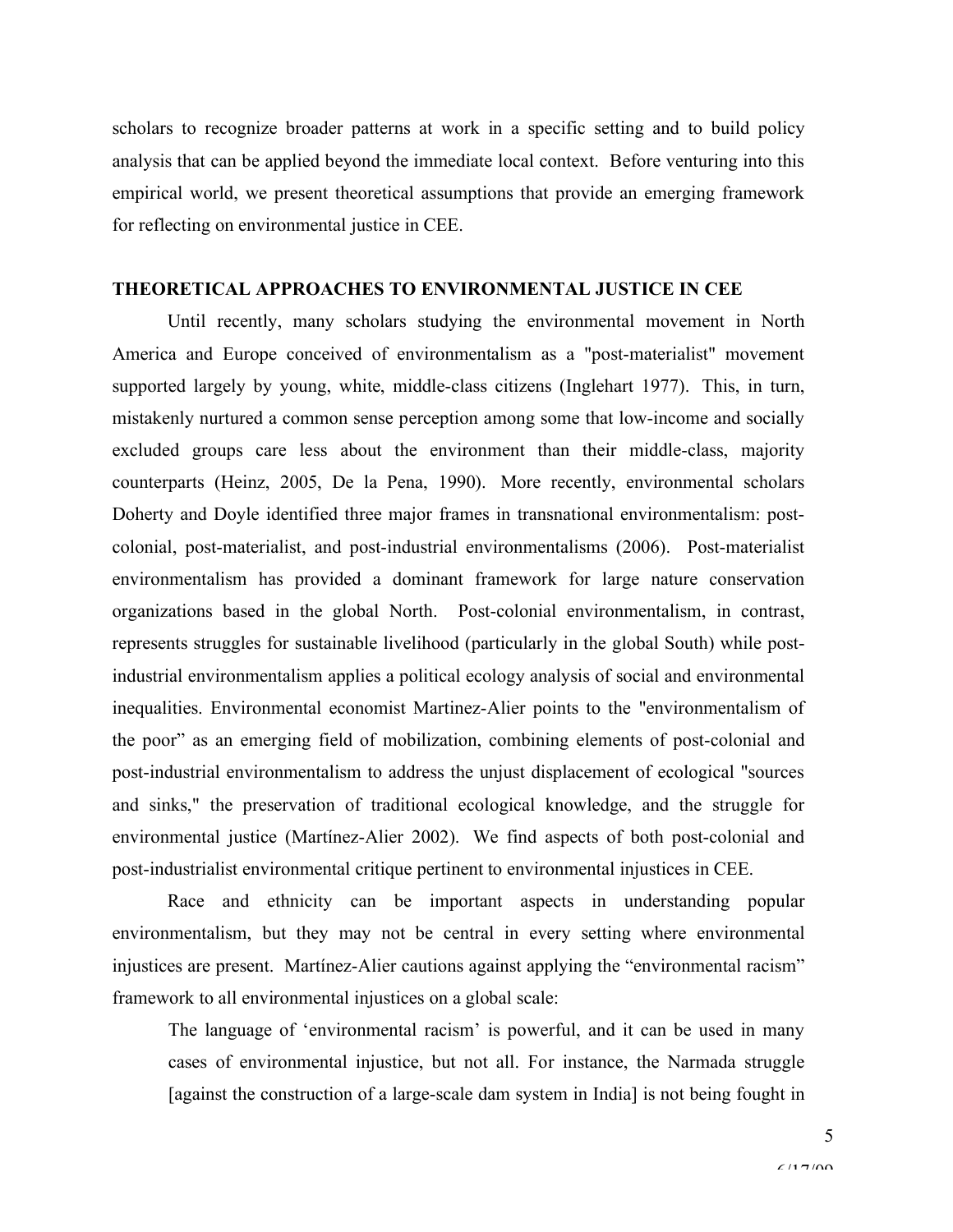scholars to recognize broader patterns at work in a specific setting and to build policy analysis that can be applied beyond the immediate local context. Before venturing into this empirical world, we present theoretical assumptions that provide an emerging framework for reflecting on environmental justice in CEE.

### **THEORETICAL APPROACHES TO ENVIRONMENTAL JUSTICE IN CEE**

Until recently, many scholars studying the environmental movement in North America and Europe conceived of environmentalism as a "post-materialist" movement supported largely by young, white, middle-class citizens (Inglehart 1977). This, in turn, mistakenly nurtured a common sense perception among some that low-income and socially excluded groups care less about the environment than their middle-class, majority counterparts (Heinz, 2005, De la Pena, 1990). More recently, environmental scholars Doherty and Doyle identified three major frames in transnational environmentalism: postcolonial, post-materialist, and post-industrial environmentalisms (2006). Post-materialist environmentalism has provided a dominant framework for large nature conservation organizations based in the global North. Post-colonial environmentalism, in contrast, represents struggles for sustainable livelihood (particularly in the global South) while postindustrial environmentalism applies a political ecology analysis of social and environmental inequalities. Environmental economist Martinez-Alier points to the "environmentalism of the poor" as an emerging field of mobilization, combining elements of post-colonial and post-industrial environmentalism to address the unjust displacement of ecological "sources and sinks," the preservation of traditional ecological knowledge, and the struggle for environmental justice (Martínez-Alier 2002). We find aspects of both post-colonial and post-industrialist environmental critique pertinent to environmental injustices in CEE.

Race and ethnicity can be important aspects in understanding popular environmentalism, but they may not be central in every setting where environmental injustices are present. Martínez-Alier cautions against applying the "environmental racism" framework to all environmental injustices on a global scale:

The language of 'environmental racism' is powerful, and it can be used in many cases of environmental injustice, but not all. For instance, the Narmada struggle [against the construction of a large-scale dam system in India] is not being fought in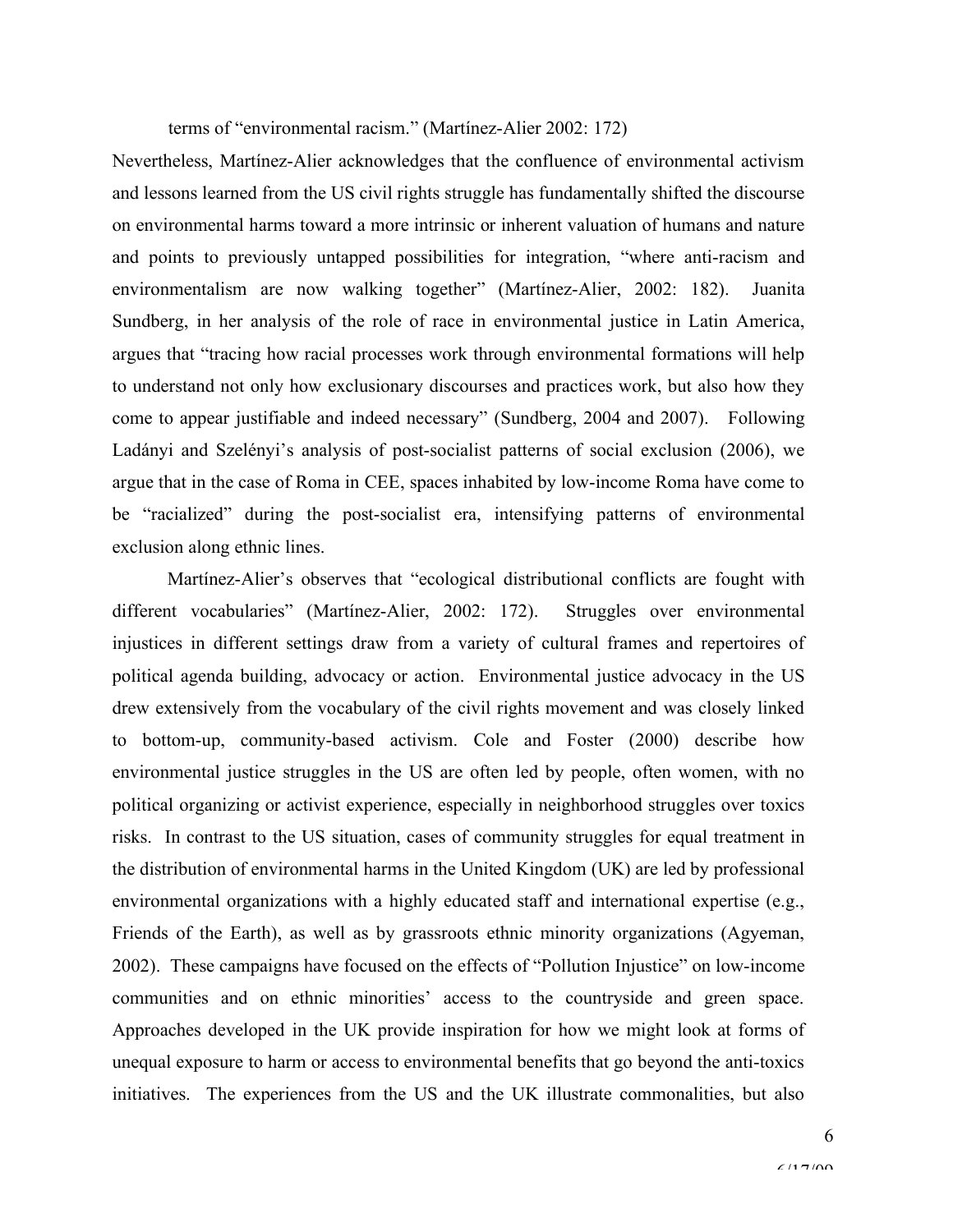terms of "environmental racism." (Martínez-Alier 2002: 172)

Nevertheless, Martínez-Alier acknowledges that the confluence of environmental activism and lessons learned from the US civil rights struggle has fundamentally shifted the discourse on environmental harms toward a more intrinsic or inherent valuation of humans and nature and points to previously untapped possibilities for integration, "where anti-racism and environmentalism are now walking together" (Martínez-Alier, 2002: 182). Juanita Sundberg, in her analysis of the role of race in environmental justice in Latin America, argues that "tracing how racial processes work through environmental formations will help to understand not only how exclusionary discourses and practices work, but also how they come to appear justifiable and indeed necessary" (Sundberg, 2004 and 2007). Following Ladányi and Szelényi's analysis of post-socialist patterns of social exclusion (2006), we argue that in the case of Roma in CEE, spaces inhabited by low-income Roma have come to be "racialized" during the post-socialist era, intensifying patterns of environmental exclusion along ethnic lines.

Martínez-Alier's observes that "ecological distributional conflicts are fought with different vocabularies" (Martínez-Alier, 2002: 172). Struggles over environmental injustices in different settings draw from a variety of cultural frames and repertoires of political agenda building, advocacy or action. Environmental justice advocacy in the US drew extensively from the vocabulary of the civil rights movement and was closely linked to bottom-up, community-based activism. Cole and Foster (2000) describe how environmental justice struggles in the US are often led by people, often women, with no political organizing or activist experience, especially in neighborhood struggles over toxics risks. In contrast to the US situation, cases of community struggles for equal treatment in the distribution of environmental harms in the United Kingdom (UK) are led by professional environmental organizations with a highly educated staff and international expertise (e.g., Friends of the Earth), as well as by grassroots ethnic minority organizations (Agyeman, 2002). These campaigns have focused on the effects of "Pollution Injustice" on low-income communities and on ethnic minorities' access to the countryside and green space. Approaches developed in the UK provide inspiration for how we might look at forms of unequal exposure to harm or access to environmental benefits that go beyond the anti-toxics initiatives. The experiences from the US and the UK illustrate commonalities, but also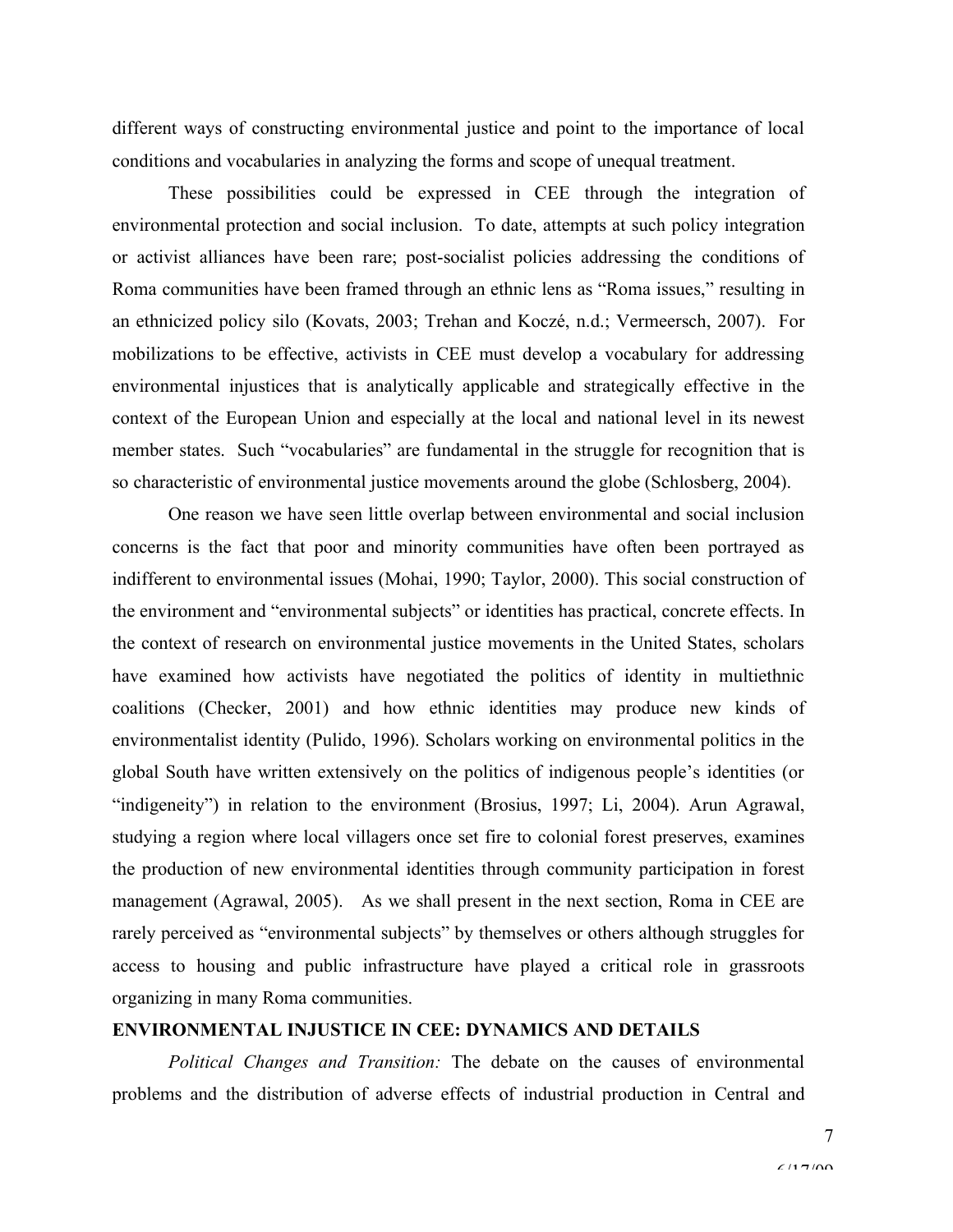different ways of constructing environmental justice and point to the importance of local conditions and vocabularies in analyzing the forms and scope of unequal treatment.

These possibilities could be expressed in CEE through the integration of environmental protection and social inclusion. To date, attempts at such policy integration or activist alliances have been rare; post-socialist policies addressing the conditions of Roma communities have been framed through an ethnic lens as "Roma issues," resulting in an ethnicized policy silo (Kovats, 2003; Trehan and Koczé, n.d.; Vermeersch, 2007). For mobilizations to be effective, activists in CEE must develop a vocabulary for addressing environmental injustices that is analytically applicable and strategically effective in the context of the European Union and especially at the local and national level in its newest member states. Such "vocabularies" are fundamental in the struggle for recognition that is so characteristic of environmental justice movements around the globe (Schlosberg, 2004).

One reason we have seen little overlap between environmental and social inclusion concerns is the fact that poor and minority communities have often been portrayed as indifferent to environmental issues (Mohai, 1990; Taylor, 2000). This social construction of the environment and "environmental subjects" or identities has practical, concrete effects. In the context of research on environmental justice movements in the United States, scholars have examined how activists have negotiated the politics of identity in multiethnic coalitions (Checker, 2001) and how ethnic identities may produce new kinds of environmentalist identity (Pulido, 1996). Scholars working on environmental politics in the global South have written extensively on the politics of indigenous people's identities (or "indigeneity") in relation to the environment (Brosius, 1997; Li, 2004). Arun Agrawal, studying a region where local villagers once set fire to colonial forest preserves, examines the production of new environmental identities through community participation in forest management (Agrawal, 2005). As we shall present in the next section, Roma in CEE are rarely perceived as "environmental subjects" by themselves or others although struggles for access to housing and public infrastructure have played a critical role in grassroots organizing in many Roma communities.

# **ENVIRONMENTAL INJUSTICE IN CEE: DYNAMICS AND DETAILS**

*Political Changes and Transition:* The debate on the causes of environmental problems and the distribution of adverse effects of industrial production in Central and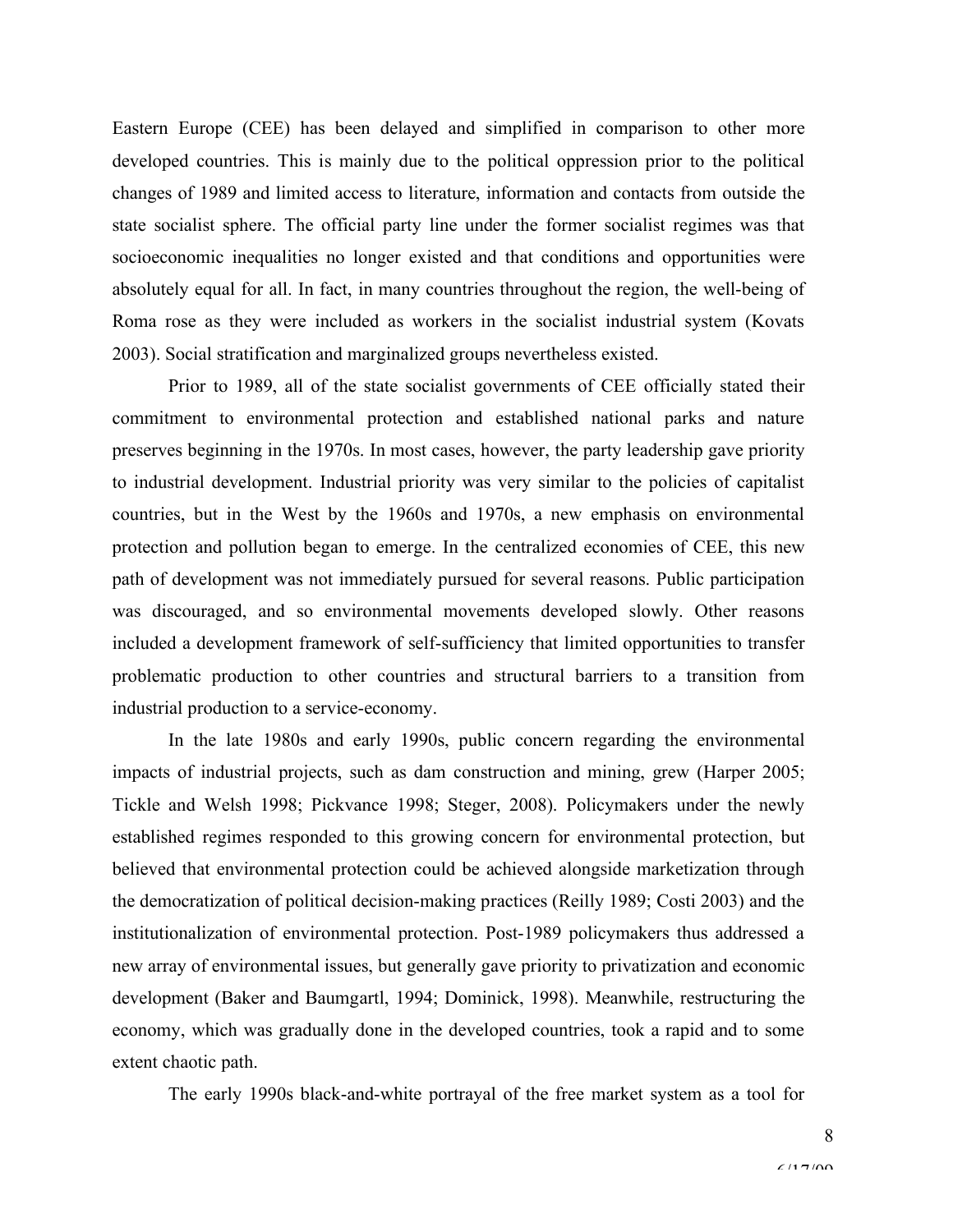Eastern Europe (CEE) has been delayed and simplified in comparison to other more developed countries. This is mainly due to the political oppression prior to the political changes of 1989 and limited access to literature, information and contacts from outside the state socialist sphere. The official party line under the former socialist regimes was that socioeconomic inequalities no longer existed and that conditions and opportunities were absolutely equal for all. In fact, in many countries throughout the region, the well-being of Roma rose as they were included as workers in the socialist industrial system (Kovats 2003). Social stratification and marginalized groups nevertheless existed.

Prior to 1989, all of the state socialist governments of CEE officially stated their commitment to environmental protection and established national parks and nature preserves beginning in the 1970s. In most cases, however, the party leadership gave priority to industrial development. Industrial priority was very similar to the policies of capitalist countries, but in the West by the 1960s and 1970s, a new emphasis on environmental protection and pollution began to emerge. In the centralized economies of CEE, this new path of development was not immediately pursued for several reasons. Public participation was discouraged, and so environmental movements developed slowly. Other reasons included a development framework of self-sufficiency that limited opportunities to transfer problematic production to other countries and structural barriers to a transition from industrial production to a service-economy.

In the late 1980s and early 1990s, public concern regarding the environmental impacts of industrial projects, such as dam construction and mining, grew (Harper 2005; Tickle and Welsh 1998; Pickvance 1998; Steger, 2008). Policymakers under the newly established regimes responded to this growing concern for environmental protection, but believed that environmental protection could be achieved alongside marketization through the democratization of political decision-making practices (Reilly 1989; Costi 2003) and the institutionalization of environmental protection. Post-1989 policymakers thus addressed a new array of environmental issues, but generally gave priority to privatization and economic development (Baker and Baumgartl, 1994; Dominick, 1998). Meanwhile, restructuring the economy, which was gradually done in the developed countries, took a rapid and to some extent chaotic path.

The early 1990s black-and-white portrayal of the free market system as a tool for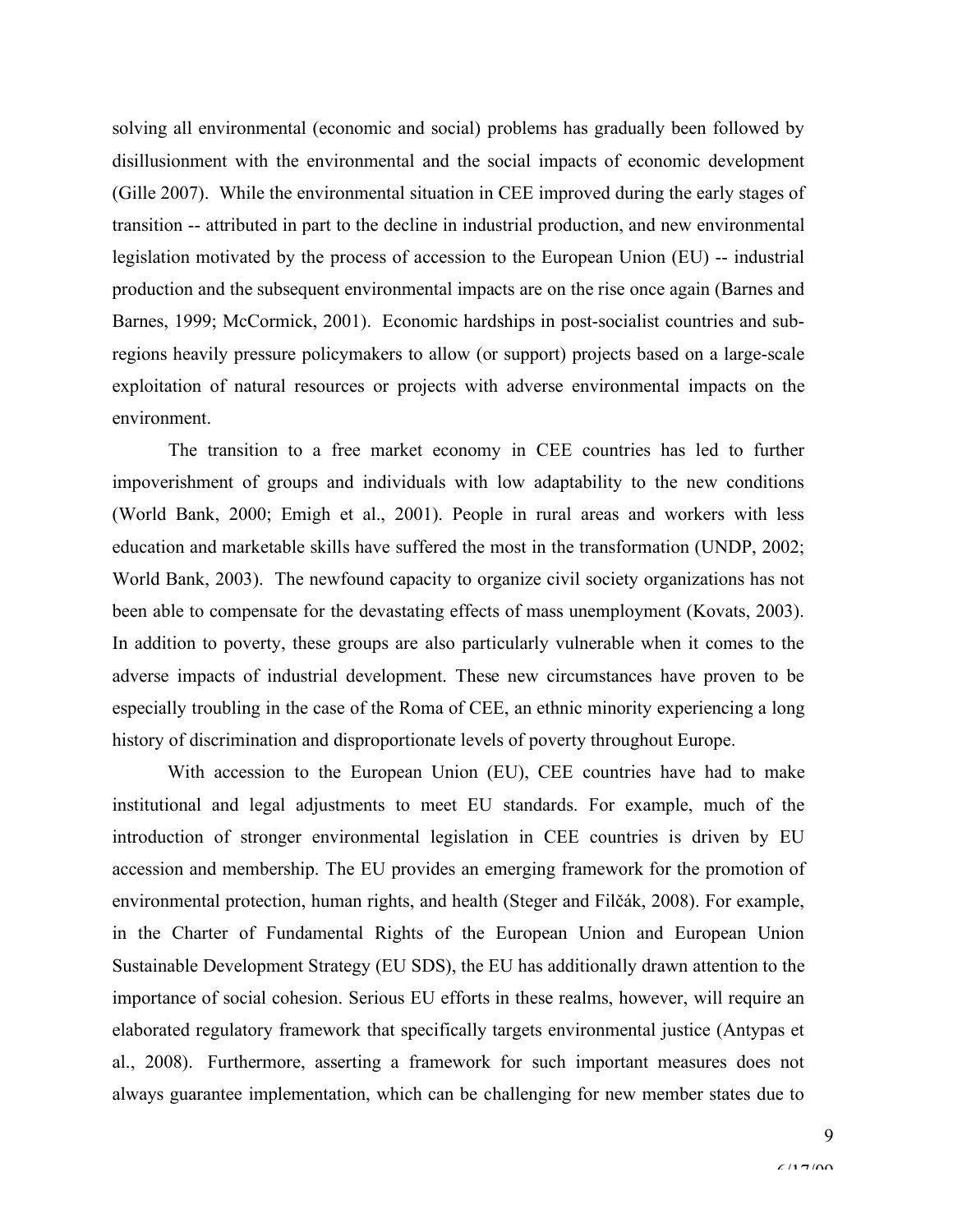solving all environmental (economic and social) problems has gradually been followed by disillusionment with the environmental and the social impacts of economic development (Gille 2007). While the environmental situation in CEE improved during the early stages of transition -- attributed in part to the decline in industrial production, and new environmental legislation motivated by the process of accession to the European Union (EU) -- industrial production and the subsequent environmental impacts are on the rise once again (Barnes and Barnes, 1999; McCormick, 2001). Economic hardships in post-socialist countries and subregions heavily pressure policymakers to allow (or support) projects based on a large-scale exploitation of natural resources or projects with adverse environmental impacts on the environment.

The transition to a free market economy in CEE countries has led to further impoverishment of groups and individuals with low adaptability to the new conditions (World Bank, 2000; Emigh et al., 2001). People in rural areas and workers with less education and marketable skills have suffered the most in the transformation (UNDP, 2002; World Bank, 2003). The newfound capacity to organize civil society organizations has not been able to compensate for the devastating effects of mass unemployment (Kovats, 2003). In addition to poverty, these groups are also particularly vulnerable when it comes to the adverse impacts of industrial development. These new circumstances have proven to be especially troubling in the case of the Roma of CEE, an ethnic minority experiencing a long history of discrimination and disproportionate levels of poverty throughout Europe.

With accession to the European Union (EU), CEE countries have had to make institutional and legal adjustments to meet EU standards. For example, much of the introduction of stronger environmental legislation in CEE countries is driven by EU accession and membership. The EU provides an emerging framework for the promotion of environmental protection, human rights, and health (Steger and Filčák, 2008). For example, in the Charter of Fundamental Rights of the European Union and European Union Sustainable Development Strategy (EU SDS), the EU has additionally drawn attention to the importance of social cohesion. Serious EU efforts in these realms, however, will require an elaborated regulatory framework that specifically targets environmental justice (Antypas et al., 2008). Furthermore, asserting a framework for such important measures does not always guarantee implementation, which can be challenging for new member states due to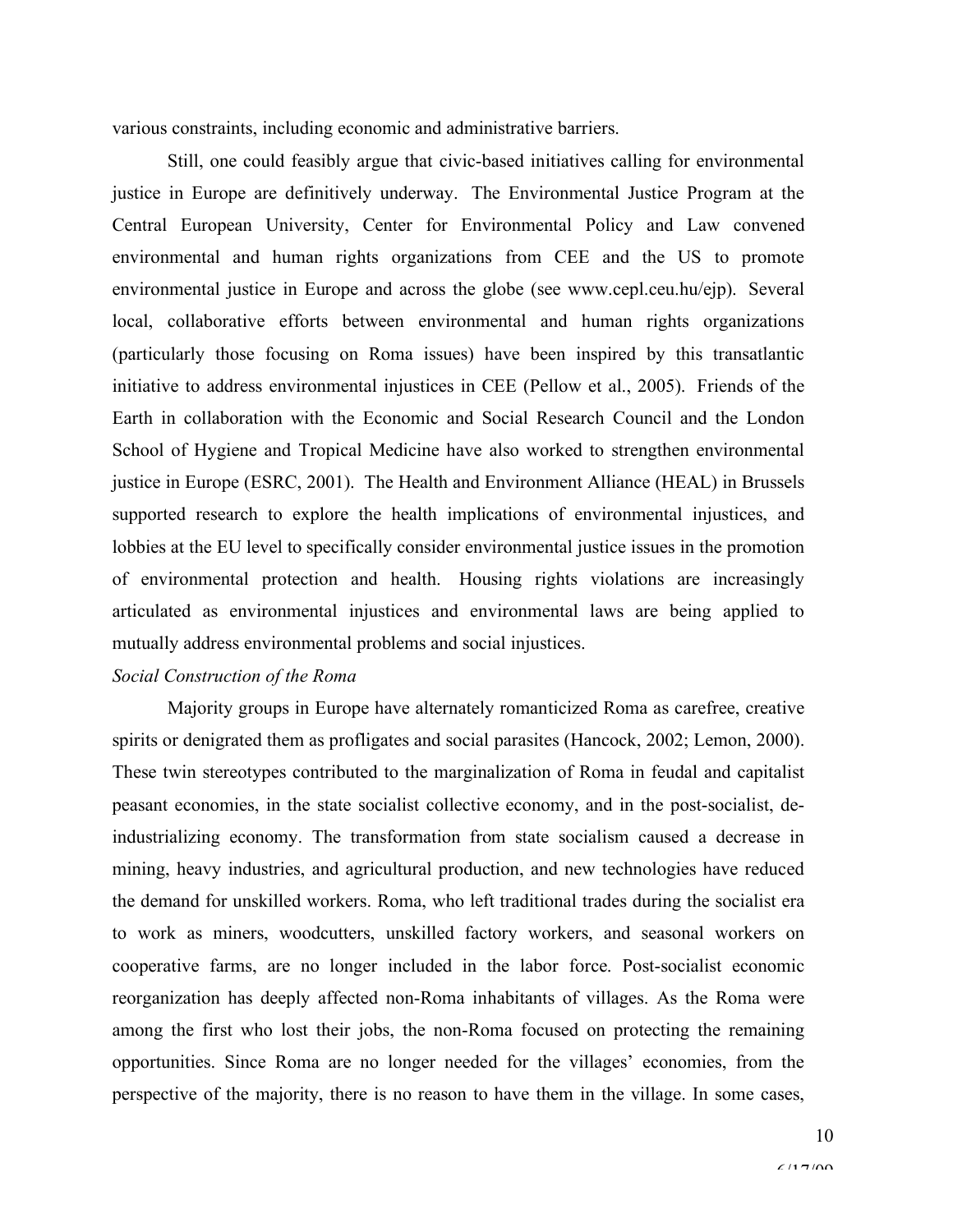various constraints, including economic and administrative barriers.

Still, one could feasibly argue that civic-based initiatives calling for environmental justice in Europe are definitively underway. The Environmental Justice Program at the Central European University, Center for Environmental Policy and Law convened environmental and human rights organizations from CEE and the US to promote environmental justice in Europe and across the globe (see www.cepl.ceu.hu/ejp). Several local, collaborative efforts between environmental and human rights organizations (particularly those focusing on Roma issues) have been inspired by this transatlantic initiative to address environmental injustices in CEE (Pellow et al., 2005). Friends of the Earth in collaboration with the Economic and Social Research Council and the London School of Hygiene and Tropical Medicine have also worked to strengthen environmental justice in Europe (ESRC, 2001). The Health and Environment Alliance (HEAL) in Brussels supported research to explore the health implications of environmental injustices, and lobbies at the EU level to specifically consider environmental justice issues in the promotion of environmental protection and health. Housing rights violations are increasingly articulated as environmental injustices and environmental laws are being applied to mutually address environmental problems and social injustices.

# *Social Construction of the Roma*

Majority groups in Europe have alternately romanticized Roma as carefree, creative spirits or denigrated them as profligates and social parasites (Hancock, 2002; Lemon, 2000). These twin stereotypes contributed to the marginalization of Roma in feudal and capitalist peasant economies, in the state socialist collective economy, and in the post-socialist, deindustrializing economy. The transformation from state socialism caused a decrease in mining, heavy industries, and agricultural production, and new technologies have reduced the demand for unskilled workers. Roma, who left traditional trades during the socialist era to work as miners, woodcutters, unskilled factory workers, and seasonal workers on cooperative farms, are no longer included in the labor force. Post-socialist economic reorganization has deeply affected non-Roma inhabitants of villages. As the Roma were among the first who lost their jobs, the non-Roma focused on protecting the remaining opportunities. Since Roma are no longer needed for the villages' economies, from the perspective of the majority, there is no reason to have them in the village. In some cases,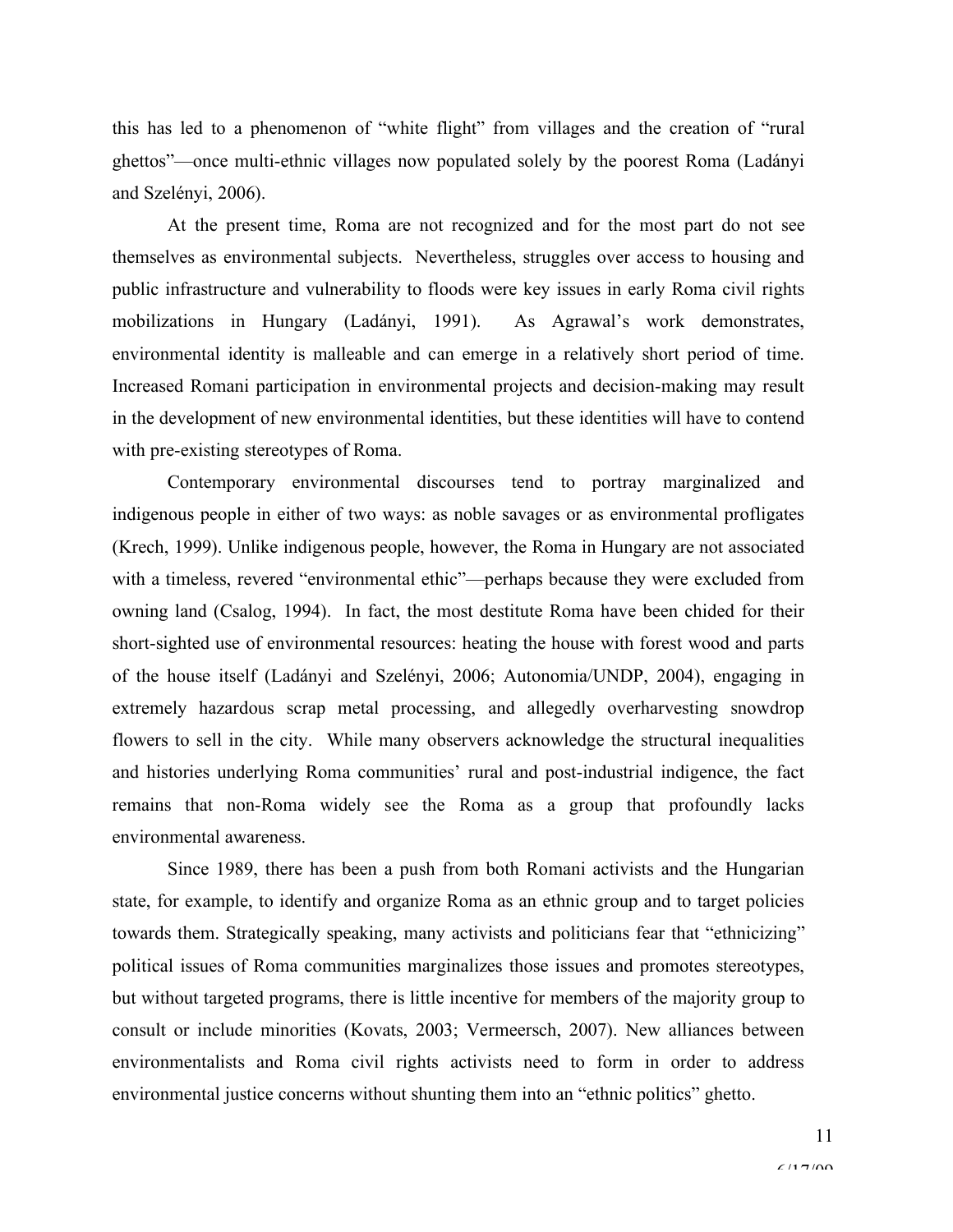this has led to a phenomenon of "white flight" from villages and the creation of "rural ghettos"—once multi-ethnic villages now populated solely by the poorest Roma (Ladányi and Szelényi, 2006).

At the present time, Roma are not recognized and for the most part do not see themselves as environmental subjects. Nevertheless, struggles over access to housing and public infrastructure and vulnerability to floods were key issues in early Roma civil rights mobilizations in Hungary (Ladányi, 1991). As Agrawal's work demonstrates, environmental identity is malleable and can emerge in a relatively short period of time. Increased Romani participation in environmental projects and decision-making may result in the development of new environmental identities, but these identities will have to contend with pre-existing stereotypes of Roma.

Contemporary environmental discourses tend to portray marginalized and indigenous people in either of two ways: as noble savages or as environmental profligates (Krech, 1999). Unlike indigenous people, however, the Roma in Hungary are not associated with a timeless, revered "environmental ethic"—perhaps because they were excluded from owning land (Csalog, 1994). In fact, the most destitute Roma have been chided for their short-sighted use of environmental resources: heating the house with forest wood and parts of the house itself (Ladányi and Szelényi, 2006; Autonomia/UNDP, 2004), engaging in extremely hazardous scrap metal processing, and allegedly overharvesting snowdrop flowers to sell in the city. While many observers acknowledge the structural inequalities and histories underlying Roma communities' rural and post-industrial indigence, the fact remains that non-Roma widely see the Roma as a group that profoundly lacks environmental awareness.

Since 1989, there has been a push from both Romani activists and the Hungarian state, for example, to identify and organize Roma as an ethnic group and to target policies towards them. Strategically speaking, many activists and politicians fear that "ethnicizing" political issues of Roma communities marginalizes those issues and promotes stereotypes, but without targeted programs, there is little incentive for members of the majority group to consult or include minorities (Kovats, 2003; Vermeersch, 2007). New alliances between environmentalists and Roma civil rights activists need to form in order to address environmental justice concerns without shunting them into an "ethnic politics" ghetto.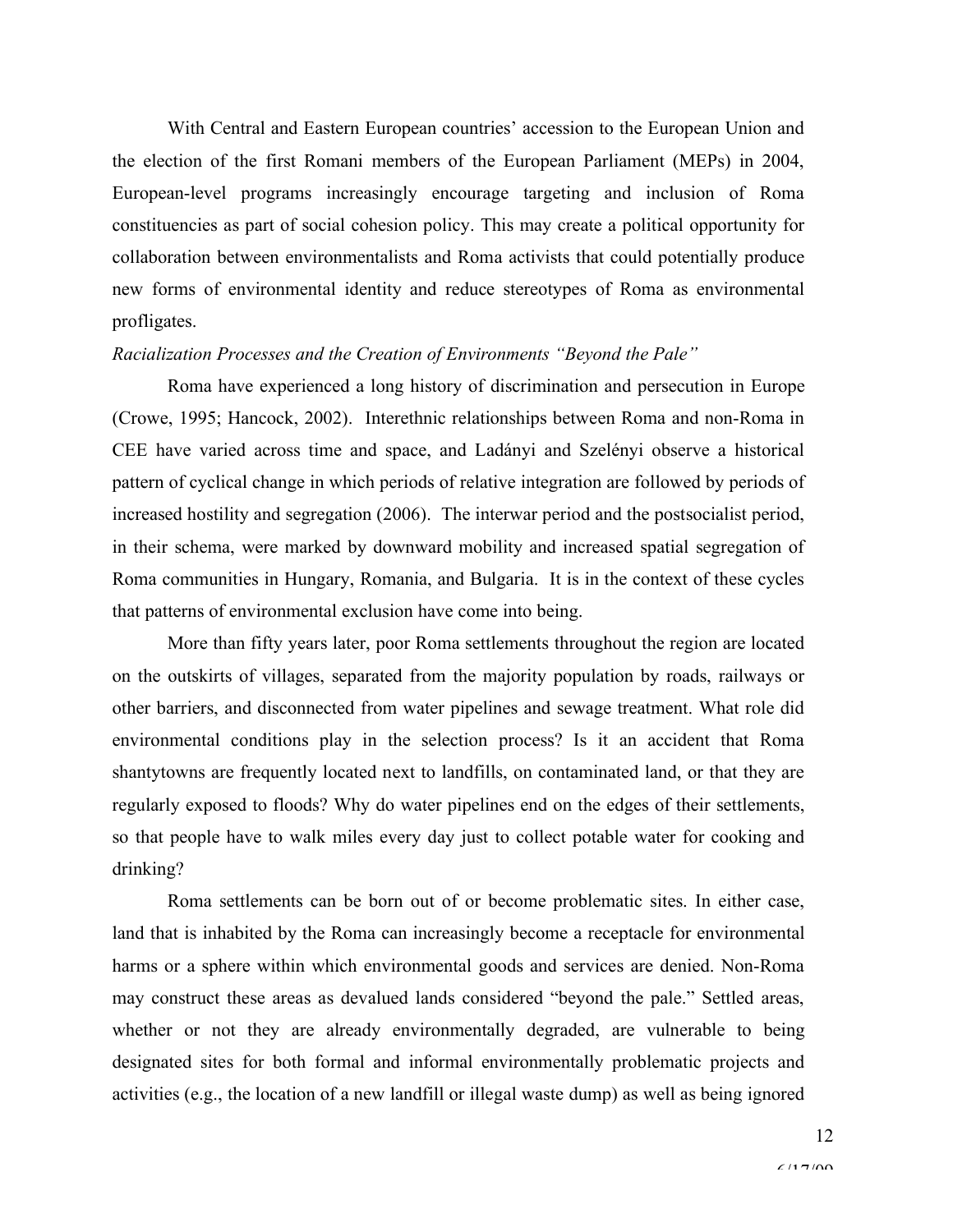With Central and Eastern European countries' accession to the European Union and the election of the first Romani members of the European Parliament (MEPs) in 2004, European-level programs increasingly encourage targeting and inclusion of Roma constituencies as part of social cohesion policy. This may create a political opportunity for collaboration between environmentalists and Roma activists that could potentially produce new forms of environmental identity and reduce stereotypes of Roma as environmental profligates.

# *Racialization Processes and the Creation of Environments "Beyond the Pale"*

Roma have experienced a long history of discrimination and persecution in Europe (Crowe, 1995; Hancock, 2002). Interethnic relationships between Roma and non-Roma in CEE have varied across time and space, and Ladányi and Szelényi observe a historical pattern of cyclical change in which periods of relative integration are followed by periods of increased hostility and segregation (2006). The interwar period and the postsocialist period, in their schema, were marked by downward mobility and increased spatial segregation of Roma communities in Hungary, Romania, and Bulgaria. It is in the context of these cycles that patterns of environmental exclusion have come into being.

More than fifty years later, poor Roma settlements throughout the region are located on the outskirts of villages, separated from the majority population by roads, railways or other barriers, and disconnected from water pipelines and sewage treatment. What role did environmental conditions play in the selection process? Is it an accident that Roma shantytowns are frequently located next to landfills, on contaminated land, or that they are regularly exposed to floods? Why do water pipelines end on the edges of their settlements, so that people have to walk miles every day just to collect potable water for cooking and drinking?

Roma settlements can be born out of or become problematic sites. In either case, land that is inhabited by the Roma can increasingly become a receptacle for environmental harms or a sphere within which environmental goods and services are denied. Non-Roma may construct these areas as devalued lands considered "beyond the pale." Settled areas, whether or not they are already environmentally degraded, are vulnerable to being designated sites for both formal and informal environmentally problematic projects and activities (e.g., the location of a new landfill or illegal waste dump) as well as being ignored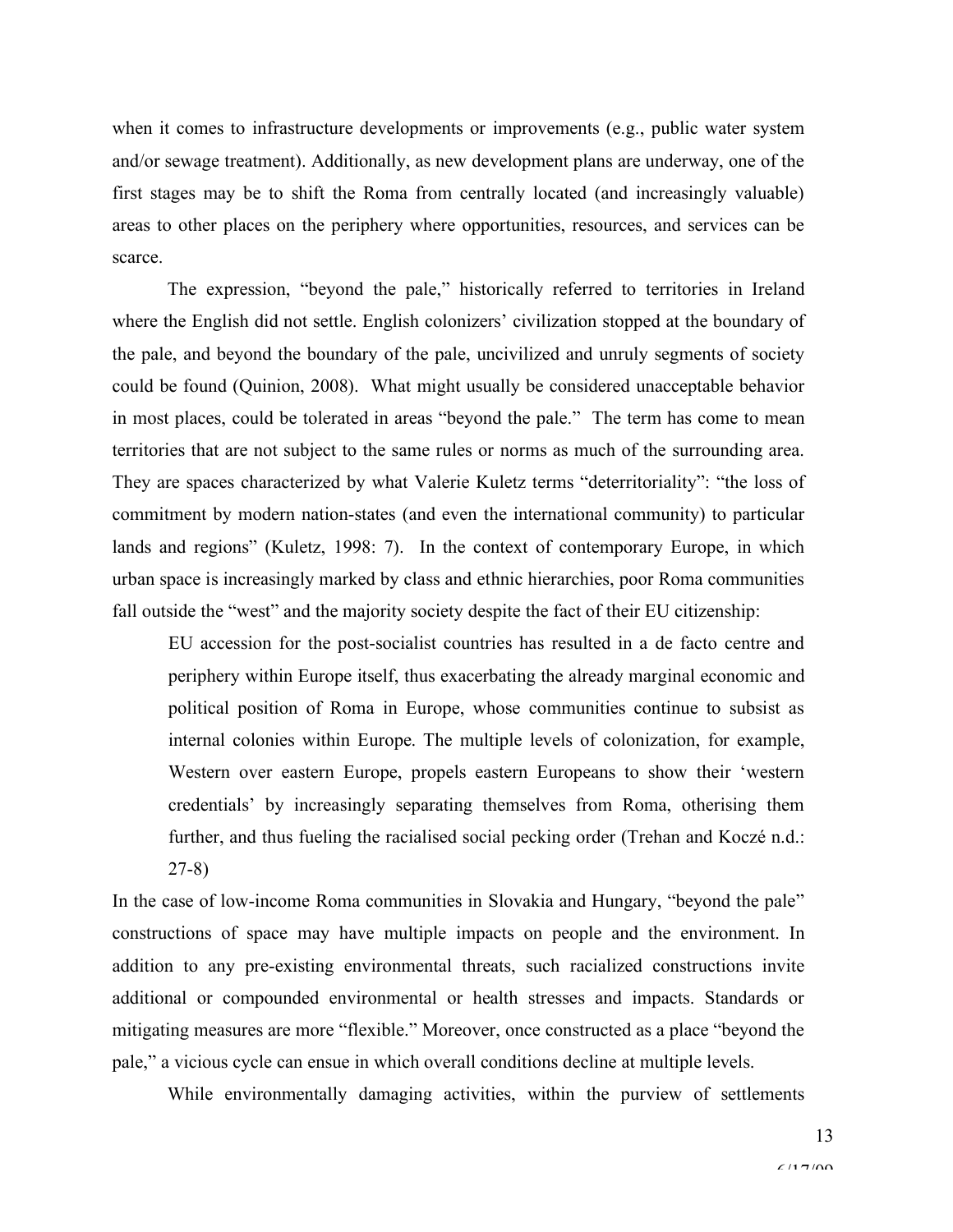when it comes to infrastructure developments or improvements (e.g., public water system and/or sewage treatment). Additionally, as new development plans are underway, one of the first stages may be to shift the Roma from centrally located (and increasingly valuable) areas to other places on the periphery where opportunities, resources, and services can be scarce.

The expression, "beyond the pale," historically referred to territories in Ireland where the English did not settle. English colonizers' civilization stopped at the boundary of the pale, and beyond the boundary of the pale, uncivilized and unruly segments of society could be found (Quinion, 2008). What might usually be considered unacceptable behavior in most places, could be tolerated in areas "beyond the pale." The term has come to mean territories that are not subject to the same rules or norms as much of the surrounding area. They are spaces characterized by what Valerie Kuletz terms "deterritoriality": "the loss of commitment by modern nation-states (and even the international community) to particular lands and regions" (Kuletz, 1998: 7). In the context of contemporary Europe, in which urban space is increasingly marked by class and ethnic hierarchies, poor Roma communities fall outside the "west" and the majority society despite the fact of their EU citizenship:

EU accession for the post-socialist countries has resulted in a de facto centre and periphery within Europe itself, thus exacerbating the already marginal economic and political position of Roma in Europe, whose communities continue to subsist as internal colonies within Europe. The multiple levels of colonization, for example, Western over eastern Europe, propels eastern Europeans to show their 'western credentials' by increasingly separating themselves from Roma, otherising them further, and thus fueling the racialised social pecking order (Trehan and Koczé n.d.: 27-8)

In the case of low-income Roma communities in Slovakia and Hungary, "beyond the pale" constructions of space may have multiple impacts on people and the environment. In addition to any pre-existing environmental threats, such racialized constructions invite additional or compounded environmental or health stresses and impacts. Standards or mitigating measures are more "flexible." Moreover, once constructed as a place "beyond the pale," a vicious cycle can ensue in which overall conditions decline at multiple levels.

While environmentally damaging activities, within the purview of settlements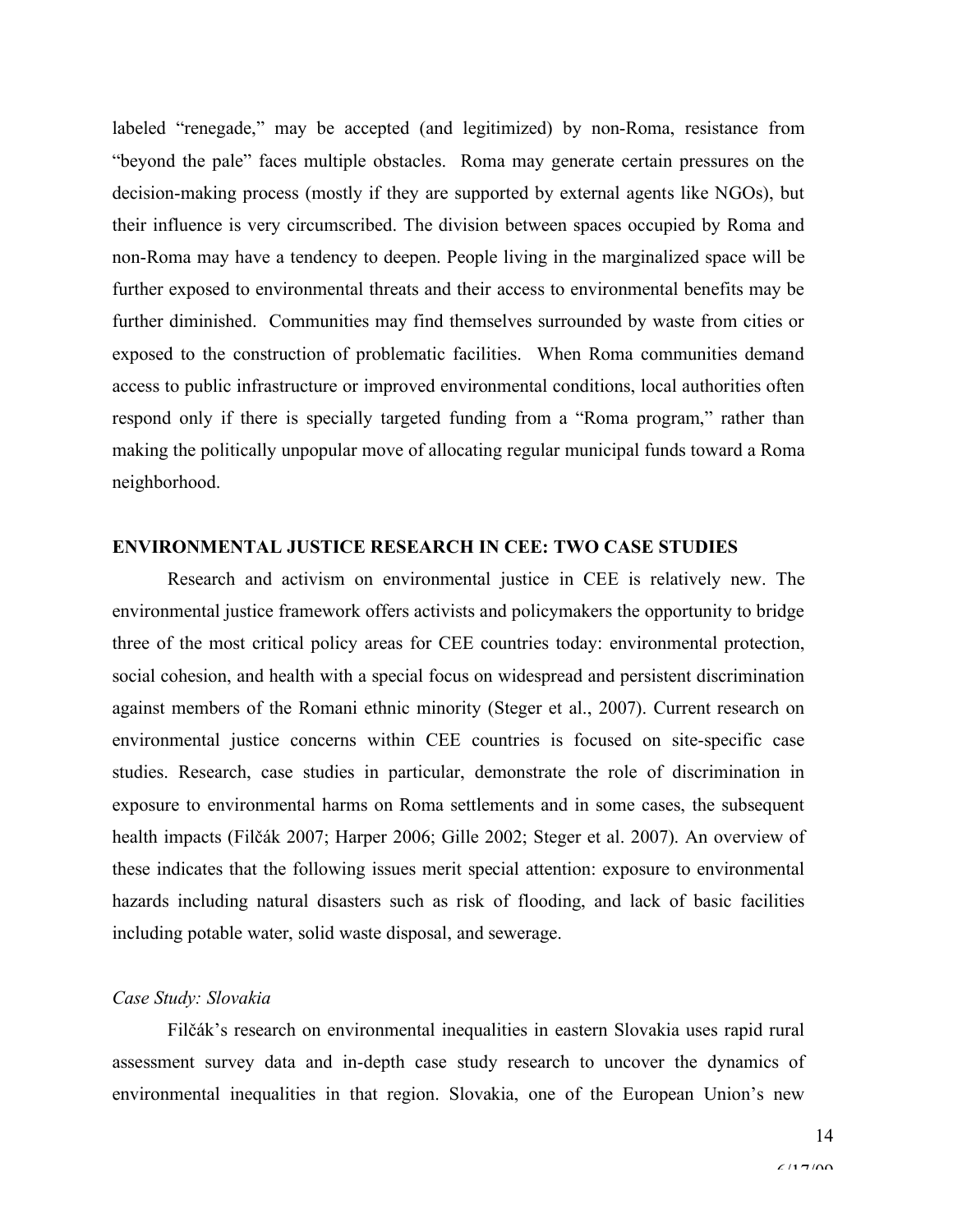labeled "renegade," may be accepted (and legitimized) by non-Roma, resistance from "beyond the pale" faces multiple obstacles. Roma may generate certain pressures on the decision-making process (mostly if they are supported by external agents like NGOs), but their influence is very circumscribed. The division between spaces occupied by Roma and non-Roma may have a tendency to deepen. People living in the marginalized space will be further exposed to environmental threats and their access to environmental benefits may be further diminished. Communities may find themselves surrounded by waste from cities or exposed to the construction of problematic facilities. When Roma communities demand access to public infrastructure or improved environmental conditions, local authorities often respond only if there is specially targeted funding from a "Roma program," rather than making the politically unpopular move of allocating regular municipal funds toward a Roma neighborhood.

#### **ENVIRONMENTAL JUSTICE RESEARCH IN CEE: TWO CASE STUDIES**

Research and activism on environmental justice in CEE is relatively new. The environmental justice framework offers activists and policymakers the opportunity to bridge three of the most critical policy areas for CEE countries today: environmental protection, social cohesion, and health with a special focus on widespread and persistent discrimination against members of the Romani ethnic minority (Steger et al., 2007). Current research on environmental justice concerns within CEE countries is focused on site-specific case studies. Research, case studies in particular, demonstrate the role of discrimination in exposure to environmental harms on Roma settlements and in some cases, the subsequent health impacts (Filčák 2007; Harper 2006; Gille 2002; Steger et al. 2007). An overview of these indicates that the following issues merit special attention: exposure to environmental hazards including natural disasters such as risk of flooding, and lack of basic facilities including potable water, solid waste disposal, and sewerage.

#### *Case Study: Slovakia*

Filčák's research on environmental inequalities in eastern Slovakia uses rapid rural assessment survey data and in-depth case study research to uncover the dynamics of environmental inequalities in that region. Slovakia, one of the European Union's new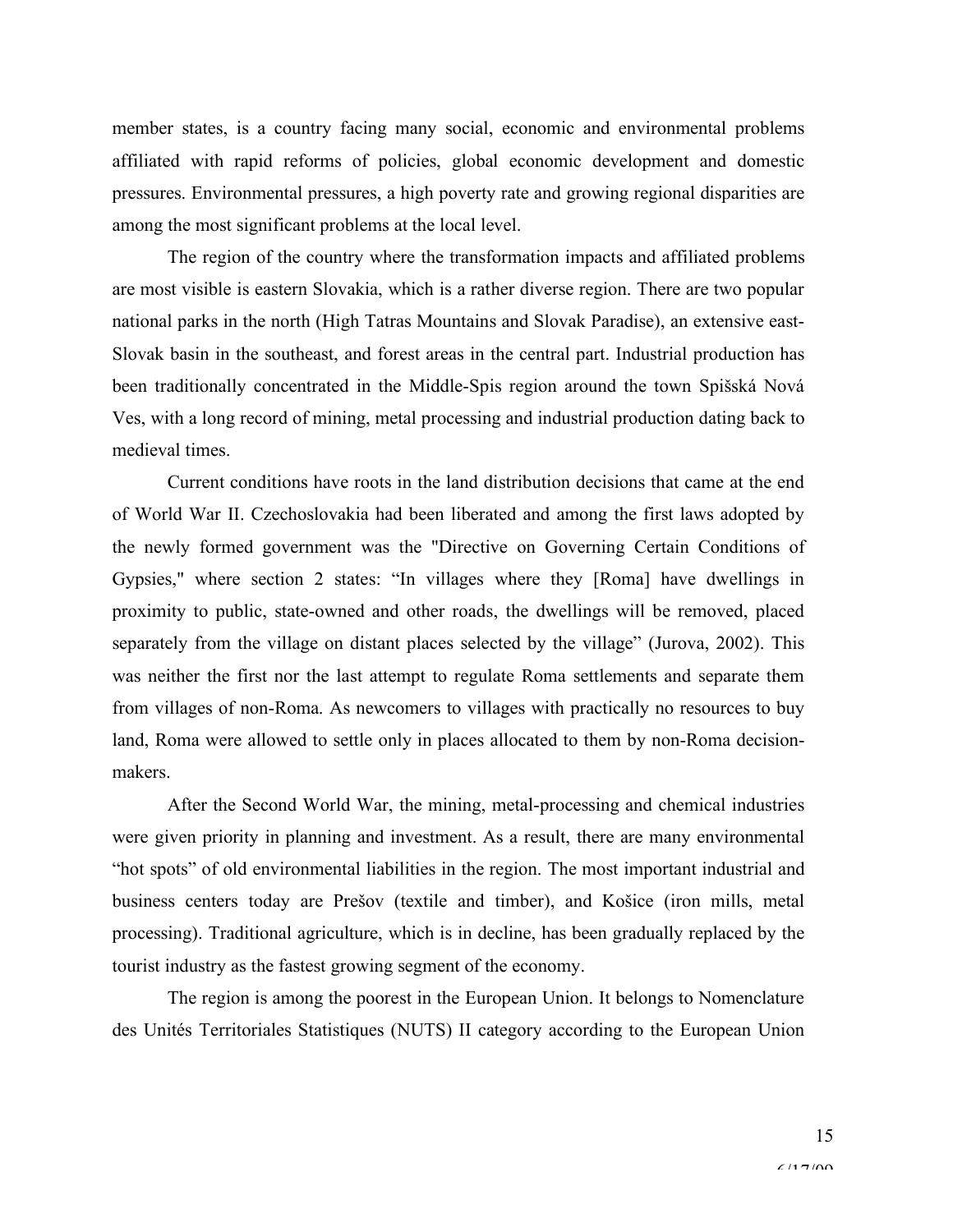member states, is a country facing many social, economic and environmental problems affiliated with rapid reforms of policies, global economic development and domestic pressures. Environmental pressures, a high poverty rate and growing regional disparities are among the most significant problems at the local level.

The region of the country where the transformation impacts and affiliated problems are most visible is eastern Slovakia, which is a rather diverse region. There are two popular national parks in the north (High Tatras Mountains and Slovak Paradise), an extensive east-Slovak basin in the southeast, and forest areas in the central part. Industrial production has been traditionally concentrated in the Middle-Spis region around the town Spišská Nová Ves, with a long record of mining, metal processing and industrial production dating back to medieval times.

Current conditions have roots in the land distribution decisions that came at the end of World War II. Czechoslovakia had been liberated and among the first laws adopted by the newly formed government was the "Directive on Governing Certain Conditions of Gypsies," where section 2 states: "In villages where they [Roma] have dwellings in proximity to public, state-owned and other roads, the dwellings will be removed, placed separately from the village on distant places selected by the village" (Jurova, 2002). This was neither the first nor the last attempt to regulate Roma settlements and separate them from villages of non-Roma. As newcomers to villages with practically no resources to buy land, Roma were allowed to settle only in places allocated to them by non-Roma decisionmakers.

After the Second World War, the mining, metal-processing and chemical industries were given priority in planning and investment. As a result, there are many environmental "hot spots" of old environmental liabilities in the region. The most important industrial and business centers today are Prešov (textile and timber), and Košice (iron mills, metal processing). Traditional agriculture, which is in decline, has been gradually replaced by the tourist industry as the fastest growing segment of the economy.

The region is among the poorest in the European Union. It belongs to Nomenclature des Unités Territoriales Statistiques (NUTS) II category according to the European Union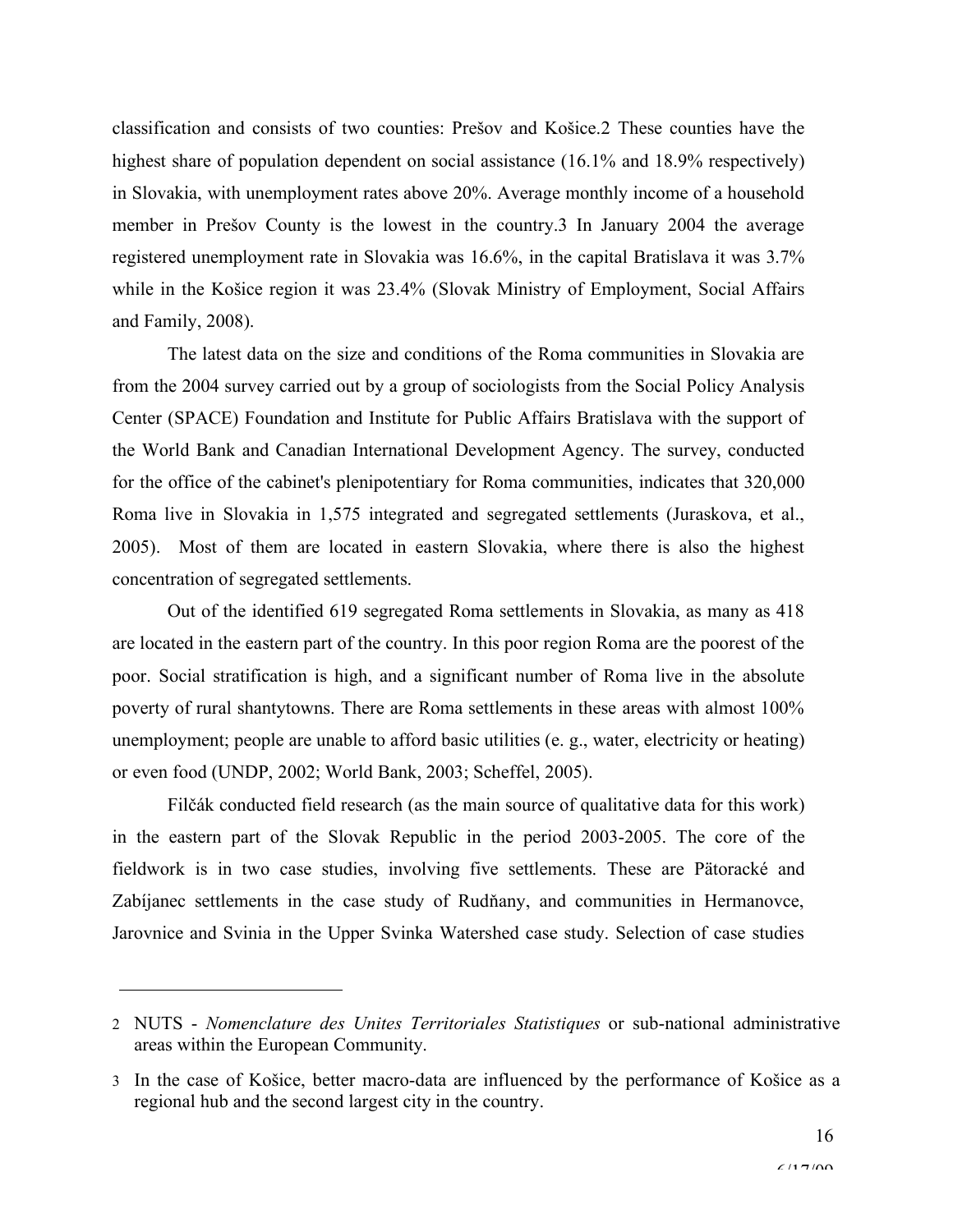classification and consists of two counties: Prešov and Košice.2 These counties have the highest share of population dependent on social assistance (16.1% and 18.9% respectively) in Slovakia, with unemployment rates above 20%. Average monthly income of a household member in Prešov County is the lowest in the country.3 In January 2004 the average registered unemployment rate in Slovakia was 16.6%, in the capital Bratislava it was 3.7% while in the Košice region it was 23.4% (Slovak Ministry of Employment, Social Affairs and Family, 2008).

The latest data on the size and conditions of the Roma communities in Slovakia are from the 2004 survey carried out by a group of sociologists from the Social Policy Analysis Center (SPACE) Foundation and Institute for Public Affairs Bratislava with the support of the World Bank and Canadian International Development Agency. The survey, conducted for the office of the cabinet's plenipotentiary for Roma communities, indicates that 320,000 Roma live in Slovakia in 1,575 integrated and segregated settlements (Juraskova, et al., 2005). Most of them are located in eastern Slovakia, where there is also the highest concentration of segregated settlements.

Out of the identified 619 segregated Roma settlements in Slovakia, as many as 418 are located in the eastern part of the country. In this poor region Roma are the poorest of the poor. Social stratification is high, and a significant number of Roma live in the absolute poverty of rural shantytowns. There are Roma settlements in these areas with almost 100% unemployment; people are unable to afford basic utilities (e. g., water, electricity or heating) or even food (UNDP, 2002; World Bank, 2003; Scheffel, 2005).

Filčák conducted field research (as the main source of qualitative data for this work) in the eastern part of the Slovak Republic in the period 2003-2005. The core of the fieldwork is in two case studies, involving five settlements. These are Pätoracké and Zabíjanec settlements in the case study of Rudňany, and communities in Hermanovce, Jarovnice and Svinia in the Upper Svinka Watershed case study. Selection of case studies

 $\overline{a}$ 

<sup>2</sup> NUTS - *Nomenclature des Unites Territoriales Statistiques* or sub-national administrative areas within the European Community.

<sup>3</sup> In the case of Košice, better macro-data are influenced by the performance of Košice as a regional hub and the second largest city in the country.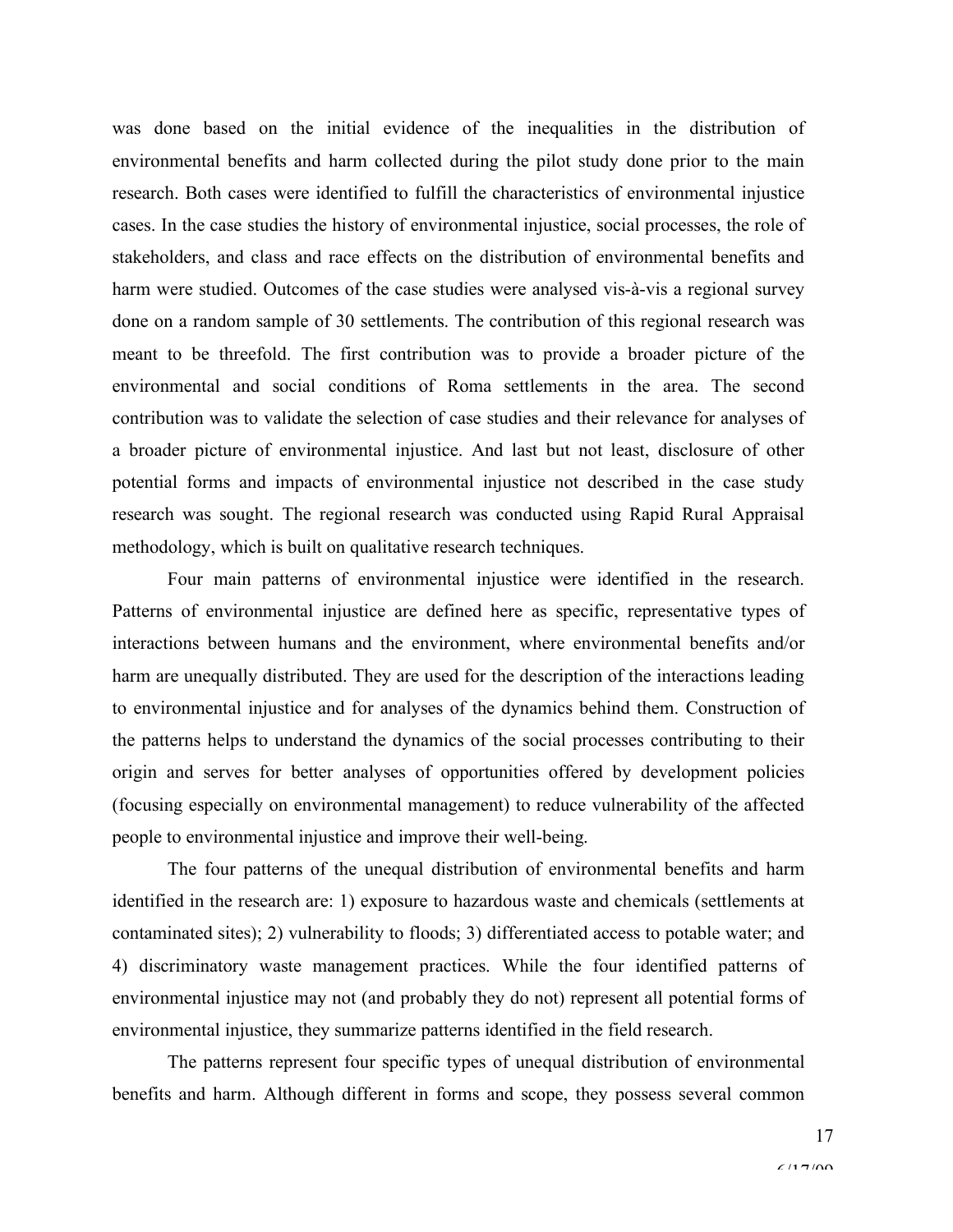was done based on the initial evidence of the inequalities in the distribution of environmental benefits and harm collected during the pilot study done prior to the main research. Both cases were identified to fulfill the characteristics of environmental injustice cases. In the case studies the history of environmental injustice, social processes, the role of stakeholders, and class and race effects on the distribution of environmental benefits and harm were studied. Outcomes of the case studies were analysed vis-à-vis a regional survey done on a random sample of 30 settlements. The contribution of this regional research was meant to be threefold. The first contribution was to provide a broader picture of the environmental and social conditions of Roma settlements in the area. The second contribution was to validate the selection of case studies and their relevance for analyses of a broader picture of environmental injustice. And last but not least, disclosure of other potential forms and impacts of environmental injustice not described in the case study research was sought. The regional research was conducted using Rapid Rural Appraisal methodology, which is built on qualitative research techniques.

Four main patterns of environmental injustice were identified in the research. Patterns of environmental injustice are defined here as specific, representative types of interactions between humans and the environment, where environmental benefits and/or harm are unequally distributed. They are used for the description of the interactions leading to environmental injustice and for analyses of the dynamics behind them. Construction of the patterns helps to understand the dynamics of the social processes contributing to their origin and serves for better analyses of opportunities offered by development policies (focusing especially on environmental management) to reduce vulnerability of the affected people to environmental injustice and improve their well-being.

The four patterns of the unequal distribution of environmental benefits and harm identified in the research are: 1) exposure to hazardous waste and chemicals (settlements at contaminated sites); 2) vulnerability to floods; 3) differentiated access to potable water; and 4) discriminatory waste management practices. While the four identified patterns of environmental injustice may not (and probably they do not) represent all potential forms of environmental injustice, they summarize patterns identified in the field research.

The patterns represent four specific types of unequal distribution of environmental benefits and harm. Although different in forms and scope, they possess several common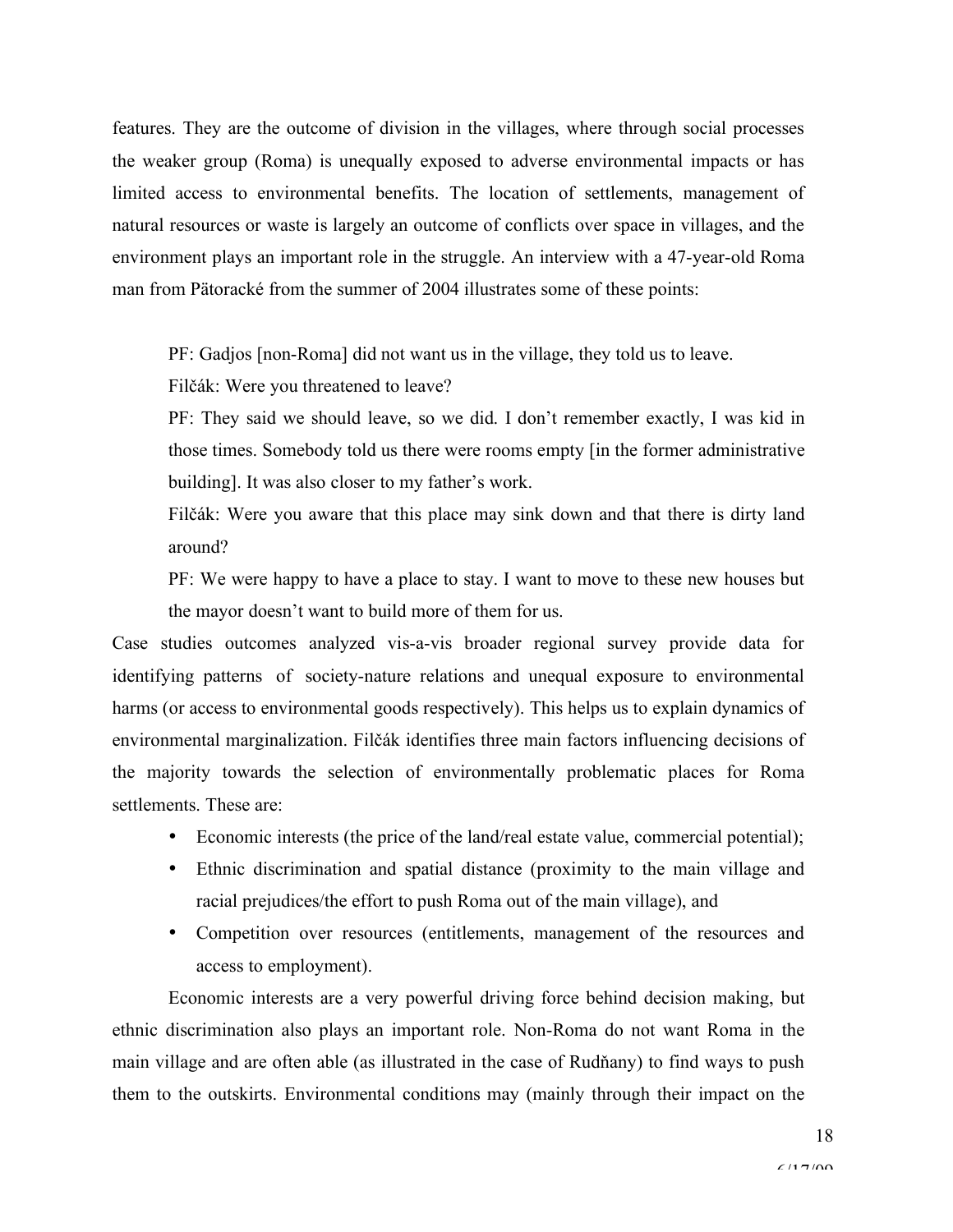features. They are the outcome of division in the villages, where through social processes the weaker group (Roma) is unequally exposed to adverse environmental impacts or has limited access to environmental benefits. The location of settlements, management of natural resources or waste is largely an outcome of conflicts over space in villages, and the environment plays an important role in the struggle. An interview with a 47-year-old Roma man from Pätoracké from the summer of 2004 illustrates some of these points:

PF: Gadjos [non-Roma] did not want us in the village, they told us to leave.

Filčák: Were you threatened to leave?

PF: They said we should leave, so we did. I don't remember exactly, I was kid in those times. Somebody told us there were rooms empty [in the former administrative building]. It was also closer to my father's work.

Filčák: Were you aware that this place may sink down and that there is dirty land around?

PF: We were happy to have a place to stay. I want to move to these new houses but the mayor doesn't want to build more of them for us.

Case studies outcomes analyzed vis-a-vis broader regional survey provide data for identifying patterns of society-nature relations and unequal exposure to environmental harms (or access to environmental goods respectively). This helps us to explain dynamics of environmental marginalization. Filčák identifies three main factors influencing decisions of the majority towards the selection of environmentally problematic places for Roma settlements. These are:

- Economic interests (the price of the land/real estate value, commercial potential);
- Ethnic discrimination and spatial distance (proximity to the main village and racial prejudices/the effort to push Roma out of the main village), and
- Competition over resources (entitlements, management of the resources and access to employment).

Economic interests are a very powerful driving force behind decision making, but ethnic discrimination also plays an important role. Non-Roma do not want Roma in the main village and are often able (as illustrated in the case of Rudňany) to find ways to push them to the outskirts. Environmental conditions may (mainly through their impact on the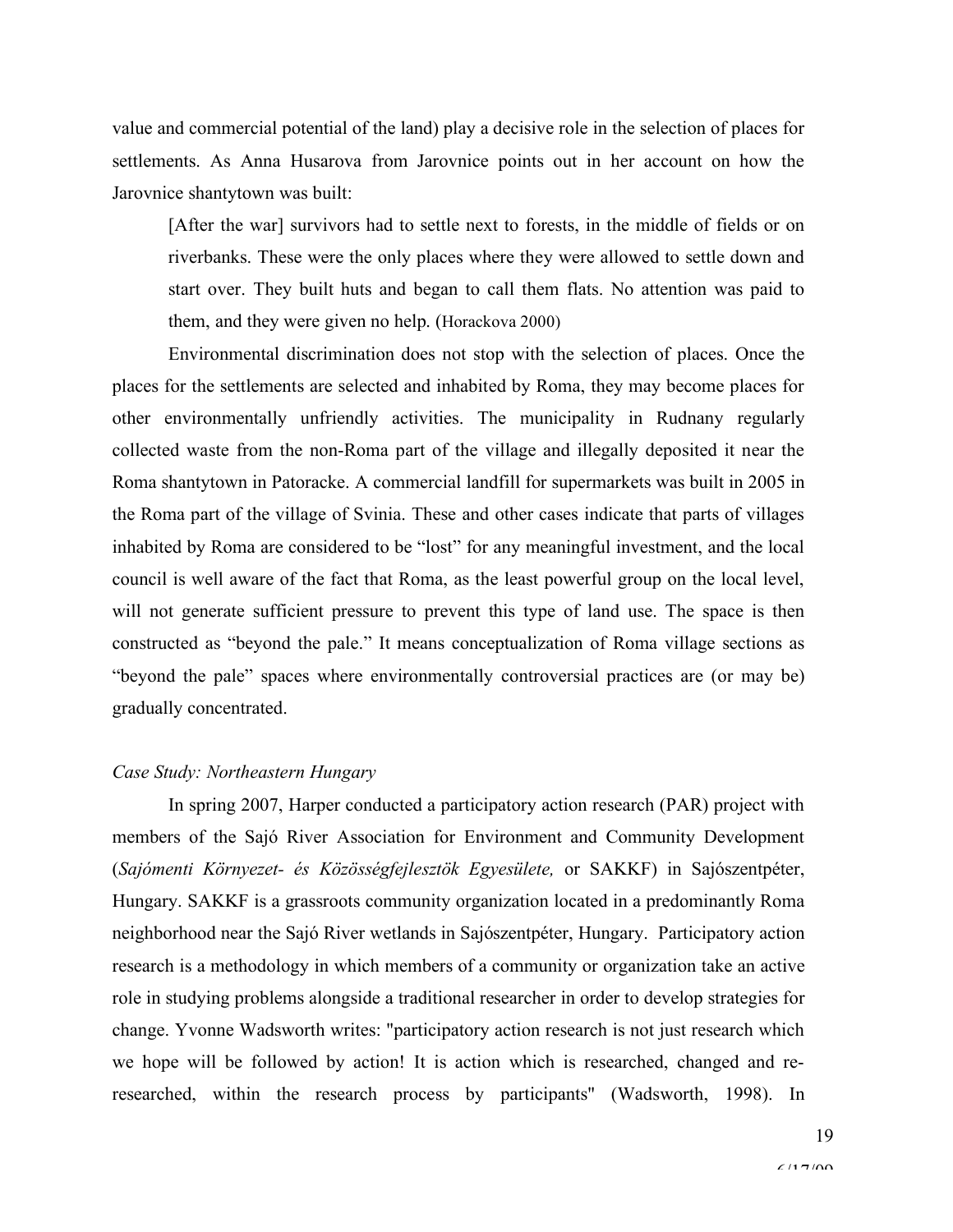value and commercial potential of the land) play a decisive role in the selection of places for settlements. As Anna Husarova from Jarovnice points out in her account on how the Jarovnice shantytown was built:

[After the war] survivors had to settle next to forests, in the middle of fields or on riverbanks. These were the only places where they were allowed to settle down and start over. They built huts and began to call them flats. No attention was paid to them, and they were given no help. (Horackova 2000)

Environmental discrimination does not stop with the selection of places. Once the places for the settlements are selected and inhabited by Roma, they may become places for other environmentally unfriendly activities. The municipality in Rudnany regularly collected waste from the non-Roma part of the village and illegally deposited it near the Roma shantytown in Patoracke. A commercial landfill for supermarkets was built in 2005 in the Roma part of the village of Svinia. These and other cases indicate that parts of villages inhabited by Roma are considered to be "lost" for any meaningful investment, and the local council is well aware of the fact that Roma, as the least powerful group on the local level, will not generate sufficient pressure to prevent this type of land use. The space is then constructed as "beyond the pale." It means conceptualization of Roma village sections as "beyond the pale" spaces where environmentally controversial practices are (or may be) gradually concentrated.

## *Case Study: Northeastern Hungary*

In spring 2007, Harper conducted a participatory action research (PAR) project with members of the Sajó River Association for Environment and Community Development (*Sajómenti Környezet- és Közösségfejlesztök Egyesülete,* or SAKKF) in Sajószentpéter, Hungary. SAKKF is a grassroots community organization located in a predominantly Roma neighborhood near the Sajó River wetlands in Sajószentpéter, Hungary. Participatory action research is a methodology in which members of a community or organization take an active role in studying problems alongside a traditional researcher in order to develop strategies for change. Yvonne Wadsworth writes: "participatory action research is not just research which we hope will be followed by action! It is action which is researched, changed and reresearched, within the research process by participants" (Wadsworth, 1998). In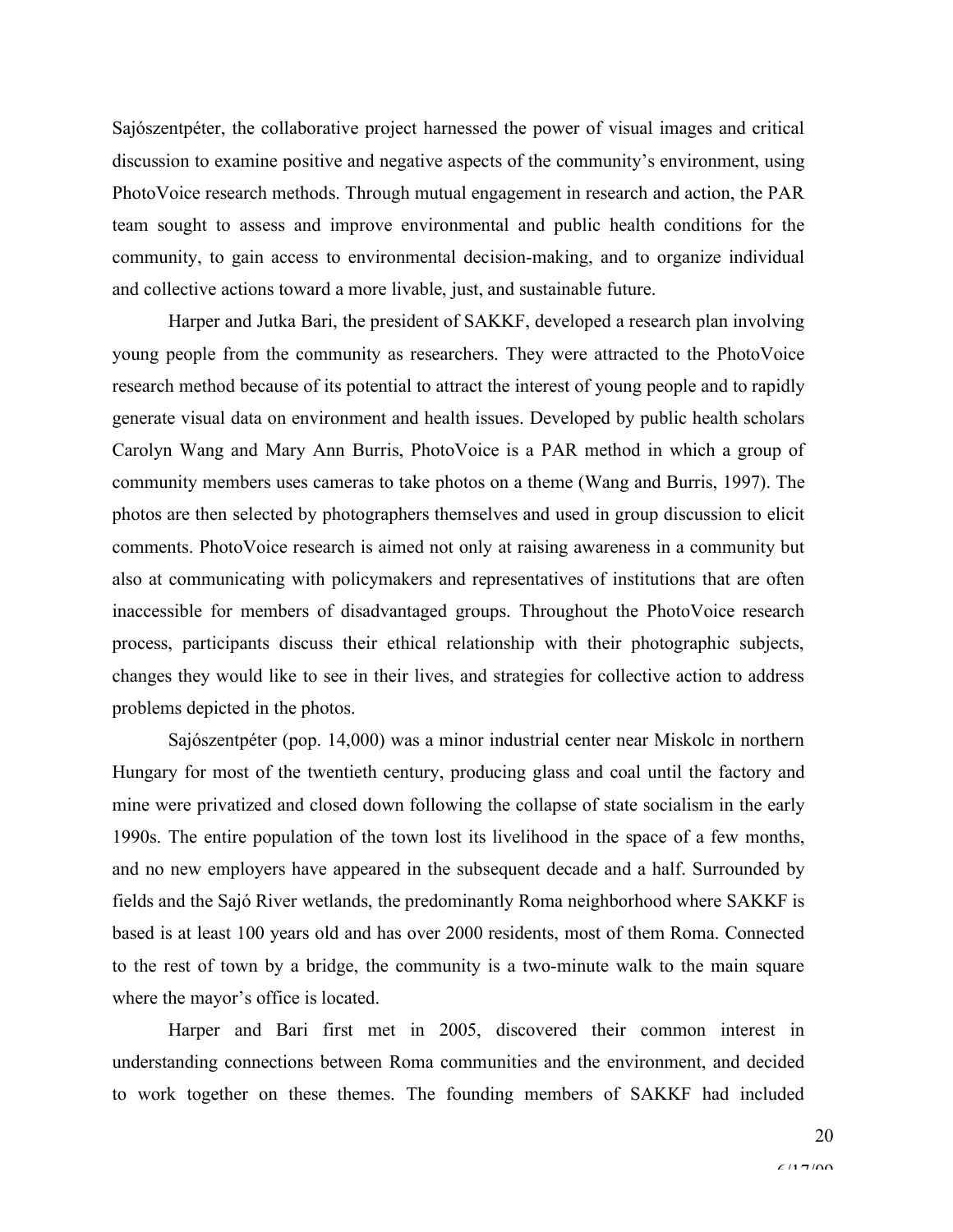Sajószentpéter, the collaborative project harnessed the power of visual images and critical discussion to examine positive and negative aspects of the community's environment, using PhotoVoice research methods. Through mutual engagement in research and action, the PAR team sought to assess and improve environmental and public health conditions for the community, to gain access to environmental decision-making, and to organize individual and collective actions toward a more livable, just, and sustainable future.

Harper and Jutka Bari, the president of SAKKF, developed a research plan involving young people from the community as researchers. They were attracted to the PhotoVoice research method because of its potential to attract the interest of young people and to rapidly generate visual data on environment and health issues. Developed by public health scholars Carolyn Wang and Mary Ann Burris, PhotoVoice is a PAR method in which a group of community members uses cameras to take photos on a theme (Wang and Burris, 1997). The photos are then selected by photographers themselves and used in group discussion to elicit comments. PhotoVoice research is aimed not only at raising awareness in a community but also at communicating with policymakers and representatives of institutions that are often inaccessible for members of disadvantaged groups. Throughout the PhotoVoice research process, participants discuss their ethical relationship with their photographic subjects, changes they would like to see in their lives, and strategies for collective action to address problems depicted in the photos.

Sajószentpéter (pop. 14,000) was a minor industrial center near Miskolc in northern Hungary for most of the twentieth century, producing glass and coal until the factory and mine were privatized and closed down following the collapse of state socialism in the early 1990s. The entire population of the town lost its livelihood in the space of a few months, and no new employers have appeared in the subsequent decade and a half. Surrounded by fields and the Sajó River wetlands, the predominantly Roma neighborhood where SAKKF is based is at least 100 years old and has over 2000 residents, most of them Roma. Connected to the rest of town by a bridge, the community is a two-minute walk to the main square where the mayor's office is located.

Harper and Bari first met in 2005, discovered their common interest in understanding connections between Roma communities and the environment, and decided to work together on these themes. The founding members of SAKKF had included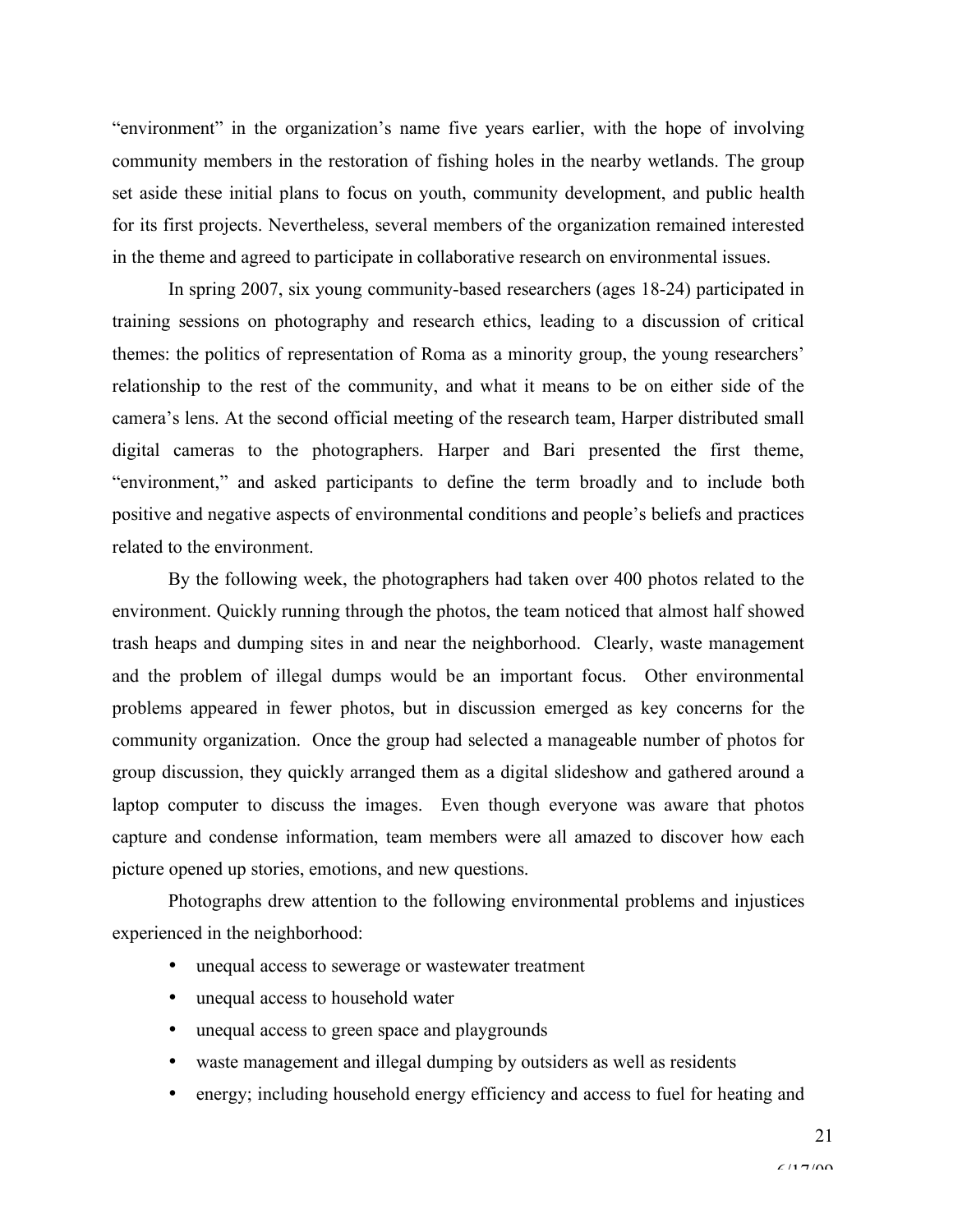"environment" in the organization's name five years earlier, with the hope of involving community members in the restoration of fishing holes in the nearby wetlands. The group set aside these initial plans to focus on youth, community development, and public health for its first projects. Nevertheless, several members of the organization remained interested in the theme and agreed to participate in collaborative research on environmental issues.

In spring 2007, six young community-based researchers (ages 18-24) participated in training sessions on photography and research ethics, leading to a discussion of critical themes: the politics of representation of Roma as a minority group, the young researchers' relationship to the rest of the community, and what it means to be on either side of the camera's lens. At the second official meeting of the research team, Harper distributed small digital cameras to the photographers. Harper and Bari presented the first theme, "environment," and asked participants to define the term broadly and to include both positive and negative aspects of environmental conditions and people's beliefs and practices related to the environment.

By the following week, the photographers had taken over 400 photos related to the environment. Quickly running through the photos, the team noticed that almost half showed trash heaps and dumping sites in and near the neighborhood. Clearly, waste management and the problem of illegal dumps would be an important focus. Other environmental problems appeared in fewer photos, but in discussion emerged as key concerns for the community organization. Once the group had selected a manageable number of photos for group discussion, they quickly arranged them as a digital slideshow and gathered around a laptop computer to discuss the images. Even though everyone was aware that photos capture and condense information, team members were all amazed to discover how each picture opened up stories, emotions, and new questions.

Photographs drew attention to the following environmental problems and injustices experienced in the neighborhood:

- unequal access to sewerage or wastewater treatment
- unequal access to household water
- unequal access to green space and playgrounds
- waste management and illegal dumping by outsiders as well as residents
- energy; including household energy efficiency and access to fuel for heating and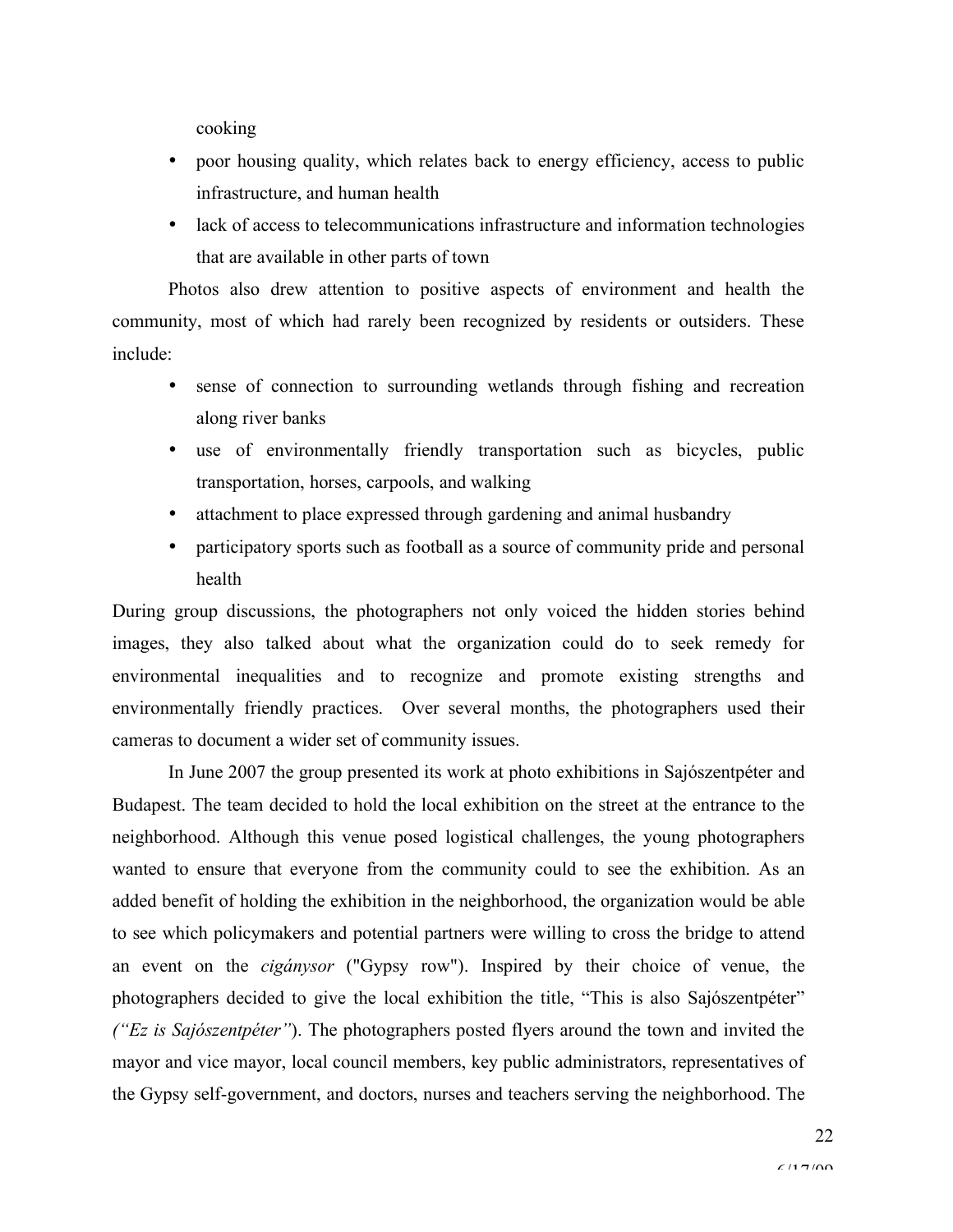cooking

- poor housing quality, which relates back to energy efficiency, access to public infrastructure, and human health
- lack of access to telecommunications infrastructure and information technologies that are available in other parts of town

Photos also drew attention to positive aspects of environment and health the community, most of which had rarely been recognized by residents or outsiders. These include:

- sense of connection to surrounding wetlands through fishing and recreation along river banks
- use of environmentally friendly transportation such as bicycles, public transportation, horses, carpools, and walking
- attachment to place expressed through gardening and animal husbandry
- participatory sports such as football as a source of community pride and personal health

During group discussions, the photographers not only voiced the hidden stories behind images, they also talked about what the organization could do to seek remedy for environmental inequalities and to recognize and promote existing strengths and environmentally friendly practices. Over several months, the photographers used their cameras to document a wider set of community issues.

In June 2007 the group presented its work at photo exhibitions in Sajószentpéter and Budapest. The team decided to hold the local exhibition on the street at the entrance to the neighborhood. Although this venue posed logistical challenges, the young photographers wanted to ensure that everyone from the community could to see the exhibition. As an added benefit of holding the exhibition in the neighborhood, the organization would be able to see which policymakers and potential partners were willing to cross the bridge to attend an event on the *cigánysor* ("Gypsy row"). Inspired by their choice of venue, the photographers decided to give the local exhibition the title, "This is also Sajószentpéter" *("Ez is Sajószentpéter"*). The photographers posted flyers around the town and invited the mayor and vice mayor, local council members, key public administrators, representatives of the Gypsy self-government, and doctors, nurses and teachers serving the neighborhood. The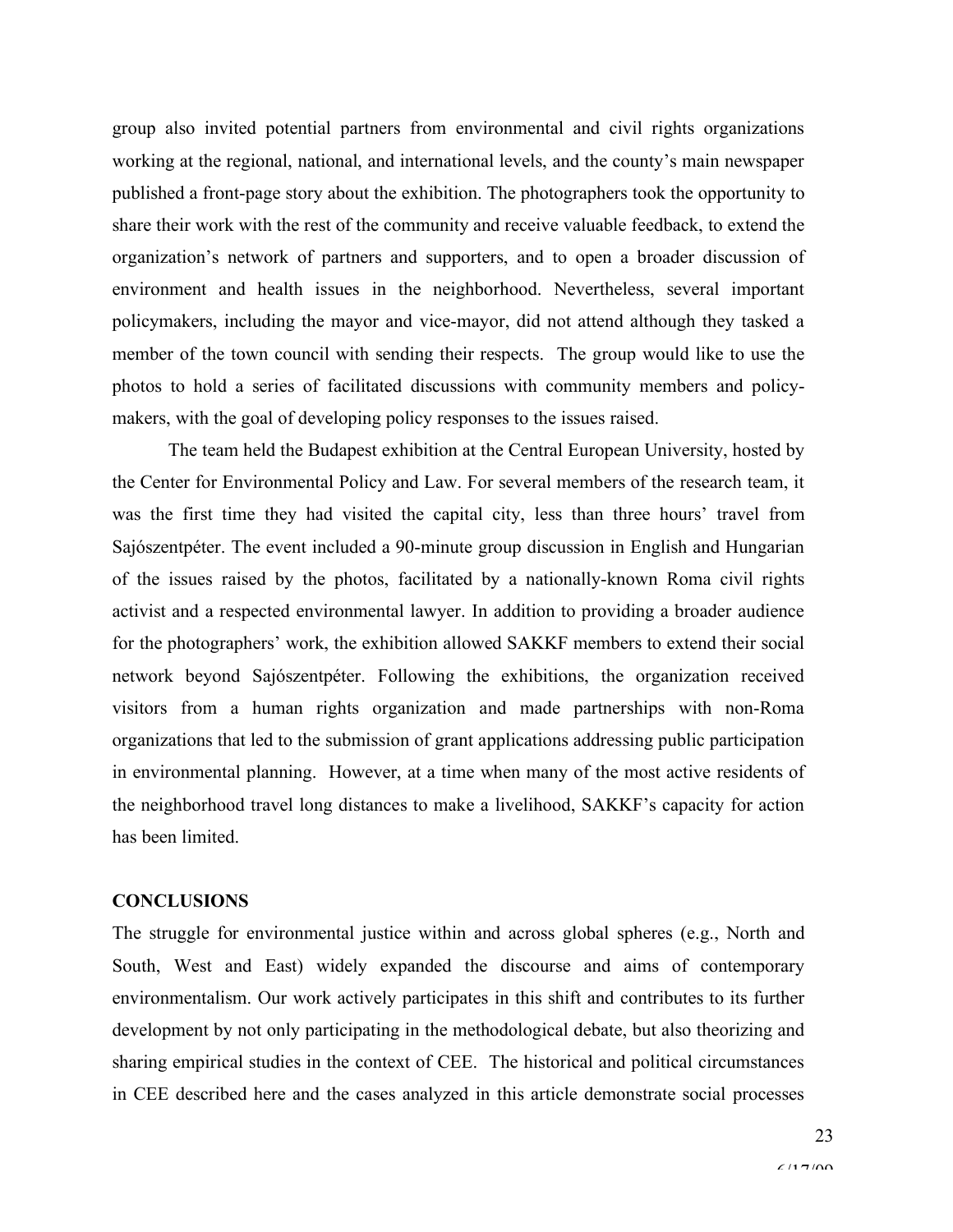group also invited potential partners from environmental and civil rights organizations working at the regional, national, and international levels, and the county's main newspaper published a front-page story about the exhibition. The photographers took the opportunity to share their work with the rest of the community and receive valuable feedback, to extend the organization's network of partners and supporters, and to open a broader discussion of environment and health issues in the neighborhood. Nevertheless, several important policymakers, including the mayor and vice-mayor, did not attend although they tasked a member of the town council with sending their respects. The group would like to use the photos to hold a series of facilitated discussions with community members and policymakers, with the goal of developing policy responses to the issues raised.

The team held the Budapest exhibition at the Central European University, hosted by the Center for Environmental Policy and Law. For several members of the research team, it was the first time they had visited the capital city, less than three hours' travel from Sajószentpéter. The event included a 90-minute group discussion in English and Hungarian of the issues raised by the photos, facilitated by a nationally-known Roma civil rights activist and a respected environmental lawyer. In addition to providing a broader audience for the photographers' work, the exhibition allowed SAKKF members to extend their social network beyond Sajószentpéter. Following the exhibitions, the organization received visitors from a human rights organization and made partnerships with non-Roma organizations that led to the submission of grant applications addressing public participation in environmental planning. However, at a time when many of the most active residents of the neighborhood travel long distances to make a livelihood, SAKKF's capacity for action has been limited.

# **CONCLUSIONS**

The struggle for environmental justice within and across global spheres (e.g., North and South, West and East) widely expanded the discourse and aims of contemporary environmentalism. Our work actively participates in this shift and contributes to its further development by not only participating in the methodological debate, but also theorizing and sharing empirical studies in the context of CEE. The historical and political circumstances in CEE described here and the cases analyzed in this article demonstrate social processes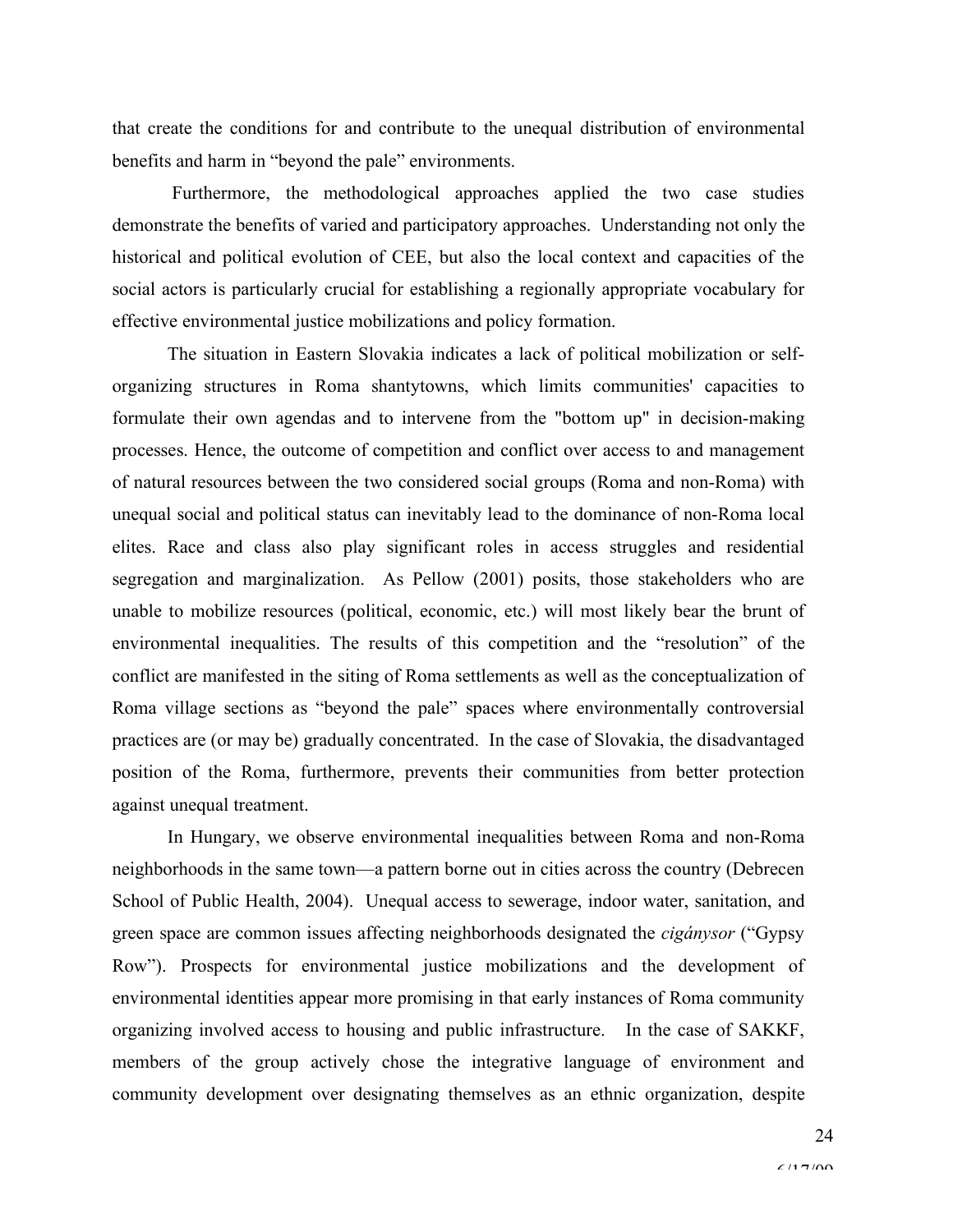that create the conditions for and contribute to the unequal distribution of environmental benefits and harm in "beyond the pale" environments.

Furthermore, the methodological approaches applied the two case studies demonstrate the benefits of varied and participatory approaches. Understanding not only the historical and political evolution of CEE, but also the local context and capacities of the social actors is particularly crucial for establishing a regionally appropriate vocabulary for effective environmental justice mobilizations and policy formation.

The situation in Eastern Slovakia indicates a lack of political mobilization or selforganizing structures in Roma shantytowns, which limits communities' capacities to formulate their own agendas and to intervene from the "bottom up" in decision-making processes. Hence, the outcome of competition and conflict over access to and management of natural resources between the two considered social groups (Roma and non-Roma) with unequal social and political status can inevitably lead to the dominance of non-Roma local elites. Race and class also play significant roles in access struggles and residential segregation and marginalization. As Pellow (2001) posits, those stakeholders who are unable to mobilize resources (political, economic, etc.) will most likely bear the brunt of environmental inequalities. The results of this competition and the "resolution" of the conflict are manifested in the siting of Roma settlements as well as the conceptualization of Roma village sections as "beyond the pale" spaces where environmentally controversial practices are (or may be) gradually concentrated. In the case of Slovakia, the disadvantaged position of the Roma, furthermore, prevents their communities from better protection against unequal treatment.

In Hungary, we observe environmental inequalities between Roma and non-Roma neighborhoods in the same town—a pattern borne out in cities across the country (Debrecen School of Public Health, 2004). Unequal access to sewerage, indoor water, sanitation, and green space are common issues affecting neighborhoods designated the *cigánysor* ("Gypsy Row"). Prospects for environmental justice mobilizations and the development of environmental identities appear more promising in that early instances of Roma community organizing involved access to housing and public infrastructure. In the case of SAKKF, members of the group actively chose the integrative language of environment and community development over designating themselves as an ethnic organization, despite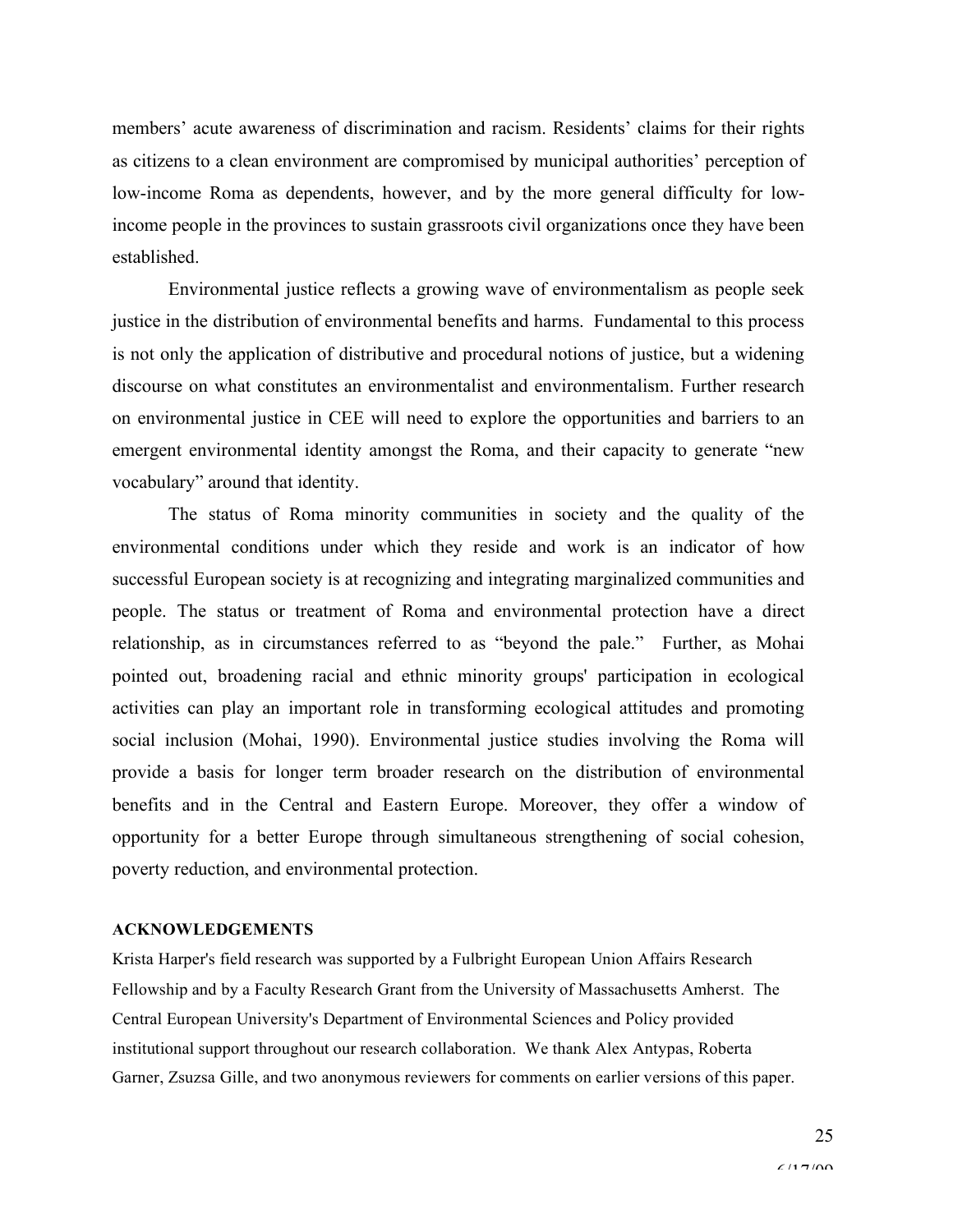members' acute awareness of discrimination and racism. Residents' claims for their rights as citizens to a clean environment are compromised by municipal authorities' perception of low-income Roma as dependents, however, and by the more general difficulty for lowincome people in the provinces to sustain grassroots civil organizations once they have been established.

Environmental justice reflects a growing wave of environmentalism as people seek justice in the distribution of environmental benefits and harms. Fundamental to this process is not only the application of distributive and procedural notions of justice, but a widening discourse on what constitutes an environmentalist and environmentalism. Further research on environmental justice in CEE will need to explore the opportunities and barriers to an emergent environmental identity amongst the Roma, and their capacity to generate "new vocabulary" around that identity.

The status of Roma minority communities in society and the quality of the environmental conditions under which they reside and work is an indicator of how successful European society is at recognizing and integrating marginalized communities and people. The status or treatment of Roma and environmental protection have a direct relationship, as in circumstances referred to as "beyond the pale." Further, as Mohai pointed out, broadening racial and ethnic minority groups' participation in ecological activities can play an important role in transforming ecological attitudes and promoting social inclusion (Mohai, 1990). Environmental justice studies involving the Roma will provide a basis for longer term broader research on the distribution of environmental benefits and in the Central and Eastern Europe. Moreover, they offer a window of opportunity for a better Europe through simultaneous strengthening of social cohesion, poverty reduction, and environmental protection.

#### **ACKNOWLEDGEMENTS**

Krista Harper's field research was supported by a Fulbright European Union Affairs Research Fellowship and by a Faculty Research Grant from the University of Massachusetts Amherst. The Central European University's Department of Environmental Sciences and Policy provided institutional support throughout our research collaboration. We thank Alex Antypas, Roberta Garner, Zsuzsa Gille, and two anonymous reviewers for comments on earlier versions of this paper.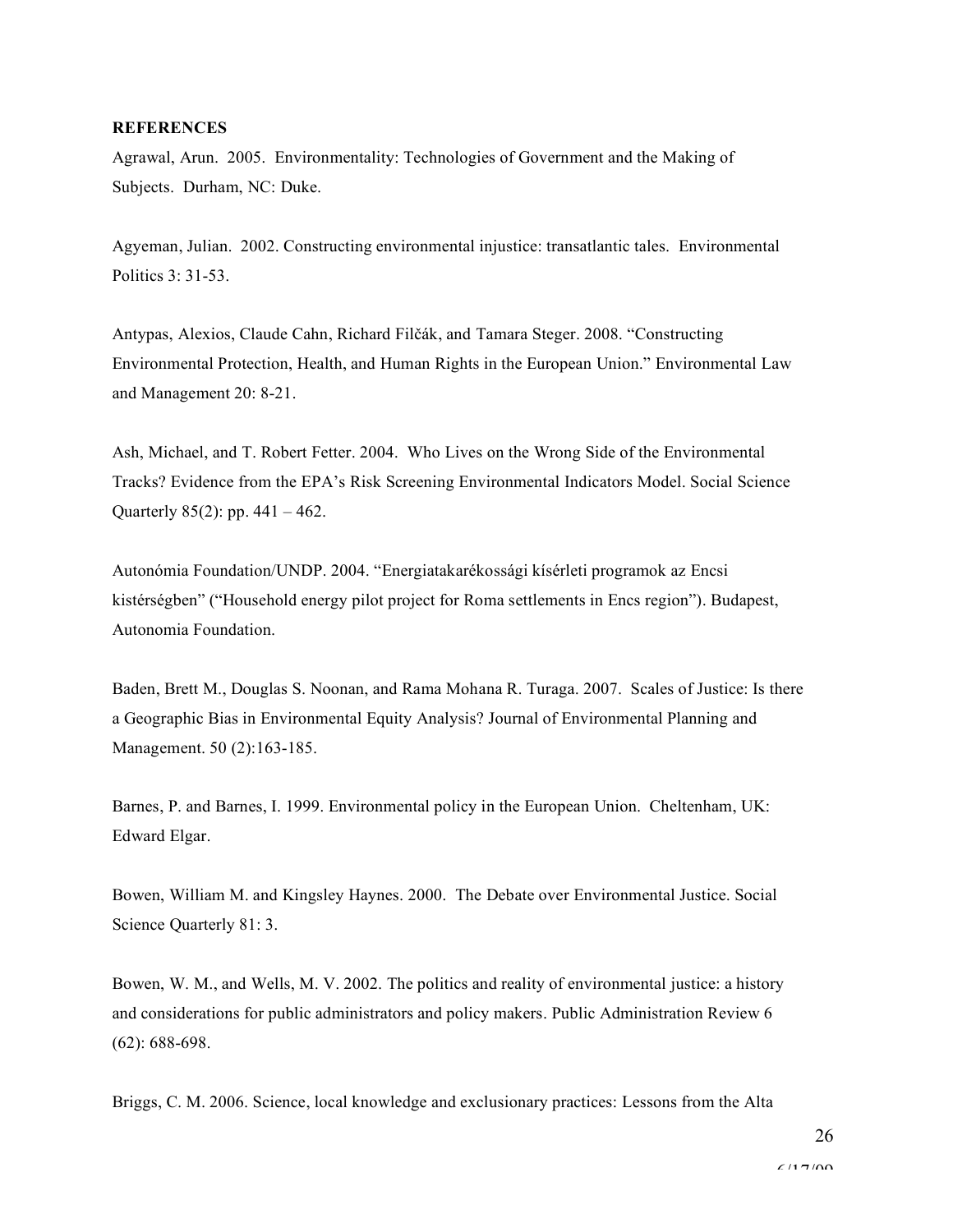#### **REFERENCES**

Agrawal, Arun. 2005. Environmentality: Technologies of Government and the Making of Subjects. Durham, NC: Duke.

Agyeman, Julian. 2002. Constructing environmental injustice: transatlantic tales. Environmental Politics 3: 31-53.

Antypas, Alexios, Claude Cahn, Richard Filčák, and Tamara Steger. 2008. "Constructing Environmental Protection, Health, and Human Rights in the European Union." Environmental Law and Management 20: 8-21.

Ash, Michael, and T. Robert Fetter. 2004. Who Lives on the Wrong Side of the Environmental Tracks? Evidence from the EPA's Risk Screening Environmental Indicators Model. Social Science Quarterly  $85(2)$ : pp.  $441 - 462$ .

Autonómia Foundation/UNDP. 2004. "Energiatakarékossági kísérleti programok az Encsi kistérségben" ("Household energy pilot project for Roma settlements in Encs region"). Budapest, Autonomia Foundation.

Baden, Brett M., Douglas S. Noonan, and Rama Mohana R. Turaga. 2007. Scales of Justice: Is there a Geographic Bias in Environmental Equity Analysis? Journal of Environmental Planning and Management. 50 (2):163-185.

Barnes, P. and Barnes, I. 1999. Environmental policy in the European Union. Cheltenham, UK: Edward Elgar.

Bowen, William M. and Kingsley Haynes. 2000. The Debate over Environmental Justice. Social Science Quarterly 81: 3.

Bowen, W. M., and Wells, M. V. 2002. The politics and reality of environmental justice: a history and considerations for public administrators and policy makers. Public Administration Review 6 (62): 688-698.

Briggs, C. M. 2006. Science, local knowledge and exclusionary practices: Lessons from the Alta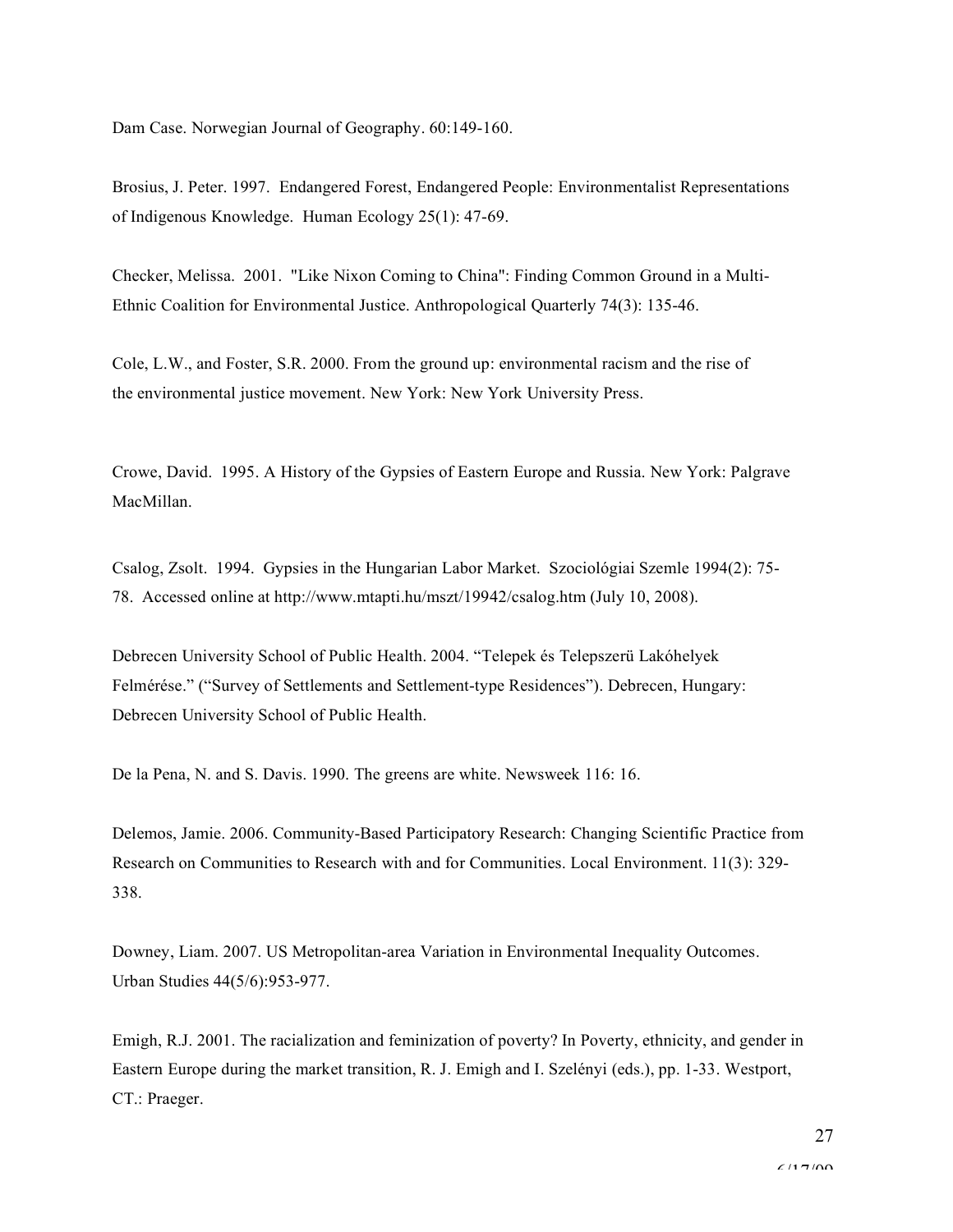Dam Case. Norwegian Journal of Geography. 60:149-160.

Brosius, J. Peter. 1997. Endangered Forest, Endangered People: Environmentalist Representations of Indigenous Knowledge. Human Ecology 25(1): 47-69.

Checker, Melissa. 2001. "Like Nixon Coming to China": Finding Common Ground in a Multi-Ethnic Coalition for Environmental Justice. Anthropological Quarterly 74(3): 135-46.

Cole, L.W., and Foster, S.R. 2000. From the ground up: environmental racism and the rise of the environmental justice movement. New York: New York University Press.

Crowe, David. 1995. A History of the Gypsies of Eastern Europe and Russia. New York: Palgrave MacMillan.

Csalog, Zsolt. 1994. Gypsies in the Hungarian Labor Market. Szociológiai Szemle 1994(2): 75- 78. Accessed online at http://www.mtapti.hu/mszt/19942/csalog.htm (July 10, 2008).

Debrecen University School of Public Health. 2004. "Telepek és Telepszerü Lakóhelyek Felmérése." ("Survey of Settlements and Settlement-type Residences"). Debrecen, Hungary: Debrecen University School of Public Health.

De la Pena, N. and S. Davis. 1990. The greens are white. Newsweek 116: 16.

Delemos, Jamie. 2006. Community-Based Participatory Research: Changing Scientific Practice from Research on Communities to Research with and for Communities. Local Environment. 11(3): 329- 338.

Downey, Liam. 2007. US Metropolitan-area Variation in Environmental Inequality Outcomes. Urban Studies 44(5/6):953-977.

Emigh, R.J. 2001. The racialization and feminization of poverty? In Poverty, ethnicity, and gender in Eastern Europe during the market transition, R. J. Emigh and I. Szelényi (eds.), pp. 1-33. Westport, CT.: Praeger.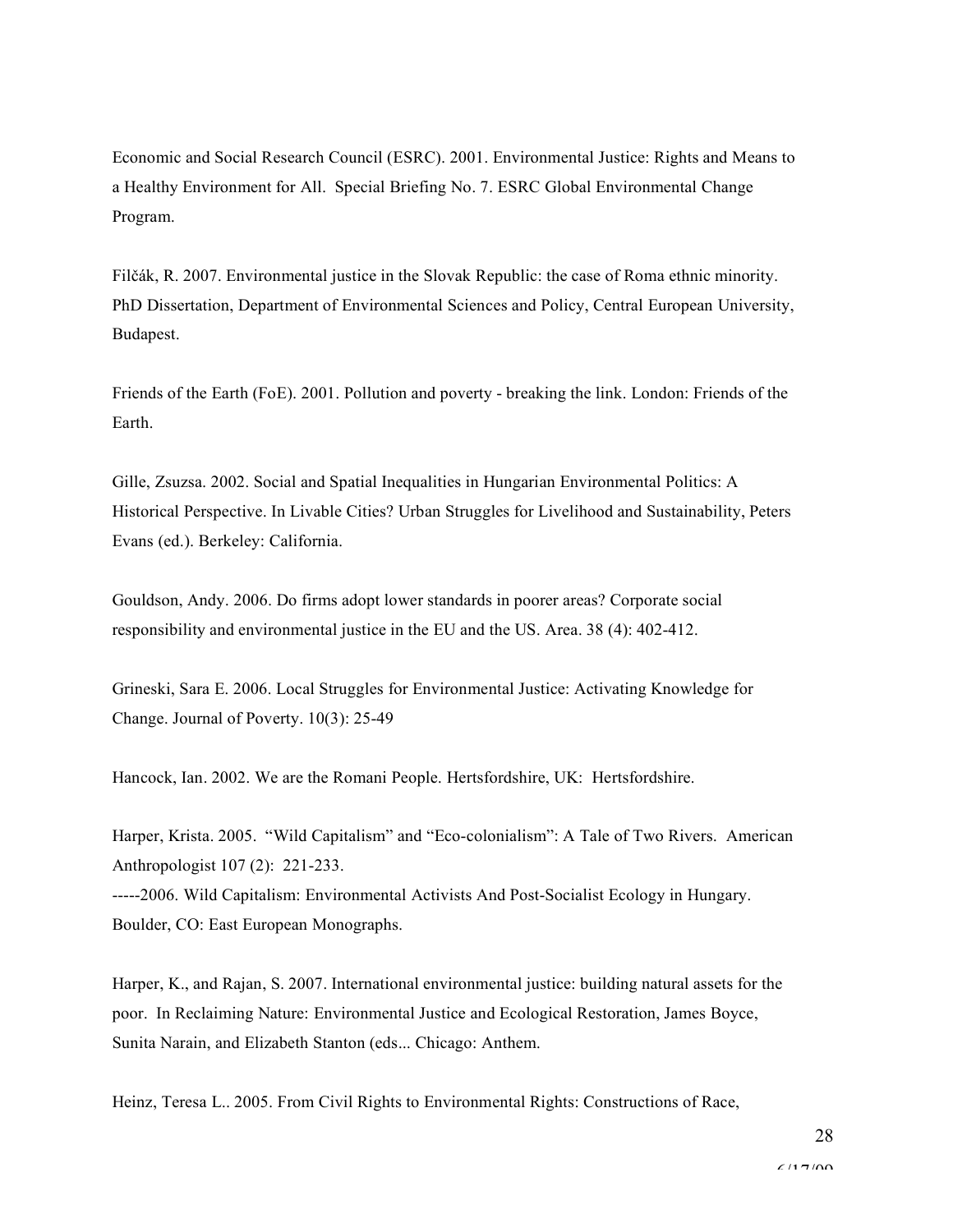Economic and Social Research Council (ESRC). 2001. Environmental Justice: Rights and Means to a Healthy Environment for All. Special Briefing No. 7. ESRC Global Environmental Change Program.

Filčák, R. 2007. Environmental justice in the Slovak Republic: the case of Roma ethnic minority. PhD Dissertation, Department of Environmental Sciences and Policy, Central European University, Budapest.

Friends of the Earth (FoE). 2001. Pollution and poverty - breaking the link. London: Friends of the Earth.

Gille, Zsuzsa. 2002. Social and Spatial Inequalities in Hungarian Environmental Politics: A Historical Perspective. In Livable Cities? Urban Struggles for Livelihood and Sustainability, Peters Evans (ed.). Berkeley: California.

Gouldson, Andy. 2006. Do firms adopt lower standards in poorer areas? Corporate social responsibility and environmental justice in the EU and the US. Area. 38 (4): 402-412.

Grineski, Sara E. 2006. Local Struggles for Environmental Justice: Activating Knowledge for Change. Journal of Poverty. 10(3): 25-49

Hancock, Ian. 2002. We are the Romani People. Hertsfordshire, UK: Hertsfordshire.

Harper, Krista. 2005. "Wild Capitalism" and "Eco-colonialism": A Tale of Two Rivers. American Anthropologist 107 (2): 221-233. -----2006. Wild Capitalism: Environmental Activists And Post-Socialist Ecology in Hungary. Boulder, CO: East European Monographs.

Harper, K., and Rajan, S. 2007. International environmental justice: building natural assets for the poor. In Reclaiming Nature: Environmental Justice and Ecological Restoration, James Boyce, Sunita Narain, and Elizabeth Stanton (eds... Chicago: Anthem.

Heinz, Teresa L.. 2005. From Civil Rights to Environmental Rights: Constructions of Race,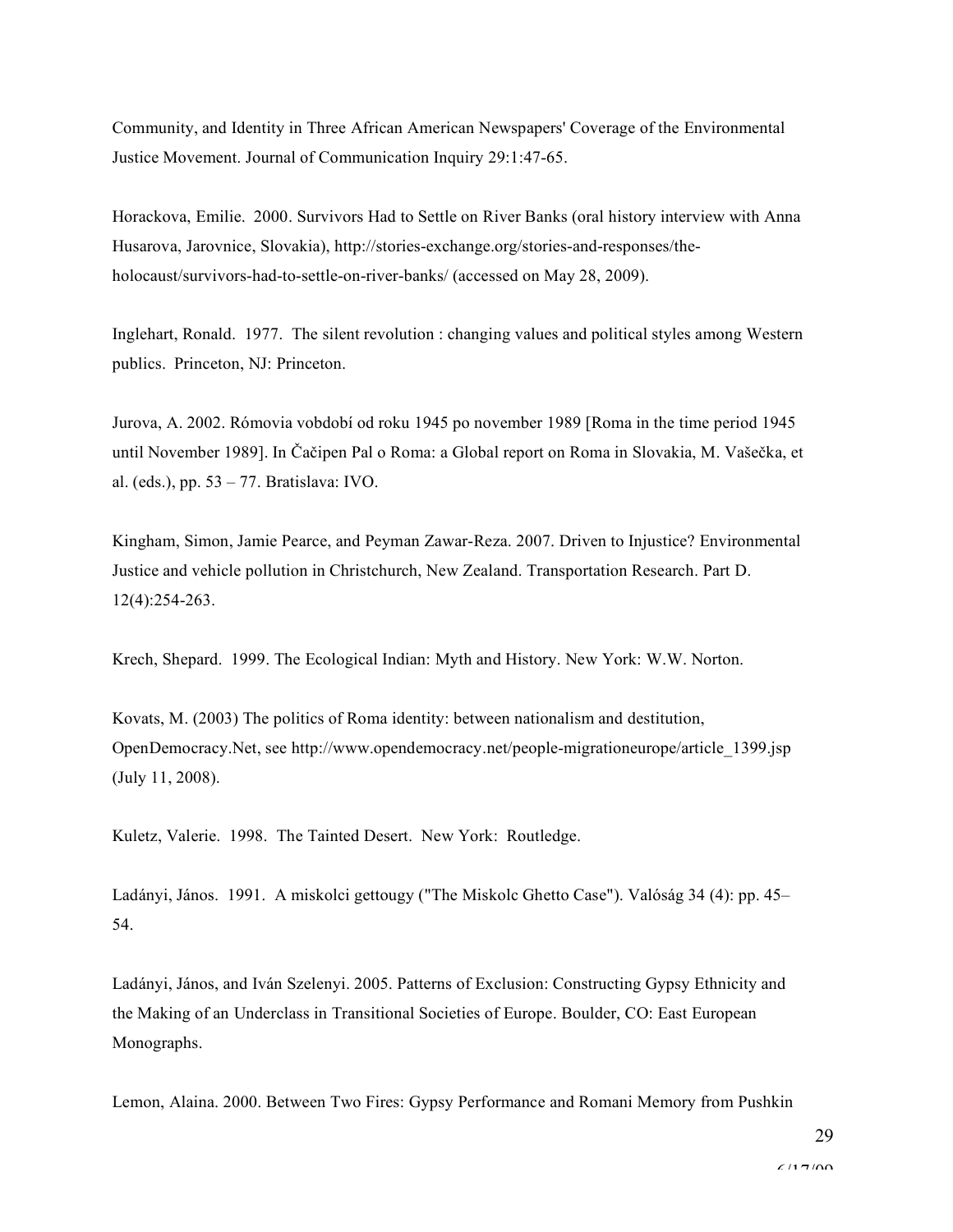Community, and Identity in Three African American Newspapers' Coverage of the Environmental Justice Movement. Journal of Communication Inquiry 29:1:47-65.

Horackova, Emilie. 2000. Survivors Had to Settle on River Banks (oral history interview with Anna Husarova, Jarovnice, Slovakia), http://stories-exchange.org/stories-and-responses/theholocaust/survivors-had-to-settle-on-river-banks/ (accessed on May 28, 2009).

Inglehart, Ronald. 1977. The silent revolution : changing values and political styles among Western publics. Princeton, NJ: Princeton.

Jurova, A. 2002. Rómovia vobdobí od roku 1945 po november 1989 [Roma in the time period 1945 until November 1989]. In Čačipen Pal o Roma: a Global report on Roma in Slovakia, M. Vašečka, et al. (eds.), pp. 53 – 77. Bratislava: IVO.

Kingham, Simon, Jamie Pearce, and Peyman Zawar-Reza. 2007. Driven to Injustice? Environmental Justice and vehicle pollution in Christchurch, New Zealand. Transportation Research. Part D. 12(4):254-263.

Krech, Shepard. 1999. The Ecological Indian: Myth and History. New York: W.W. Norton.

Kovats, M. (2003) The politics of Roma identity: between nationalism and destitution, OpenDemocracy.Net, see http://www.opendemocracy.net/people-migrationeurope/article\_1399.jsp (July 11, 2008).

Kuletz, Valerie. 1998. The Tainted Desert. New York: Routledge.

Ladányi, János. 1991. A miskolci gettougy ("The Miskolc Ghetto Case"). Valóság 34 (4): pp. 45– 54.

Ladányi, János, and Iván Szelenyi. 2005. Patterns of Exclusion: Constructing Gypsy Ethnicity and the Making of an Underclass in Transitional Societies of Europe. Boulder, CO: East European Monographs.

Lemon, Alaina. 2000. Between Two Fires: Gypsy Performance and Romani Memory from Pushkin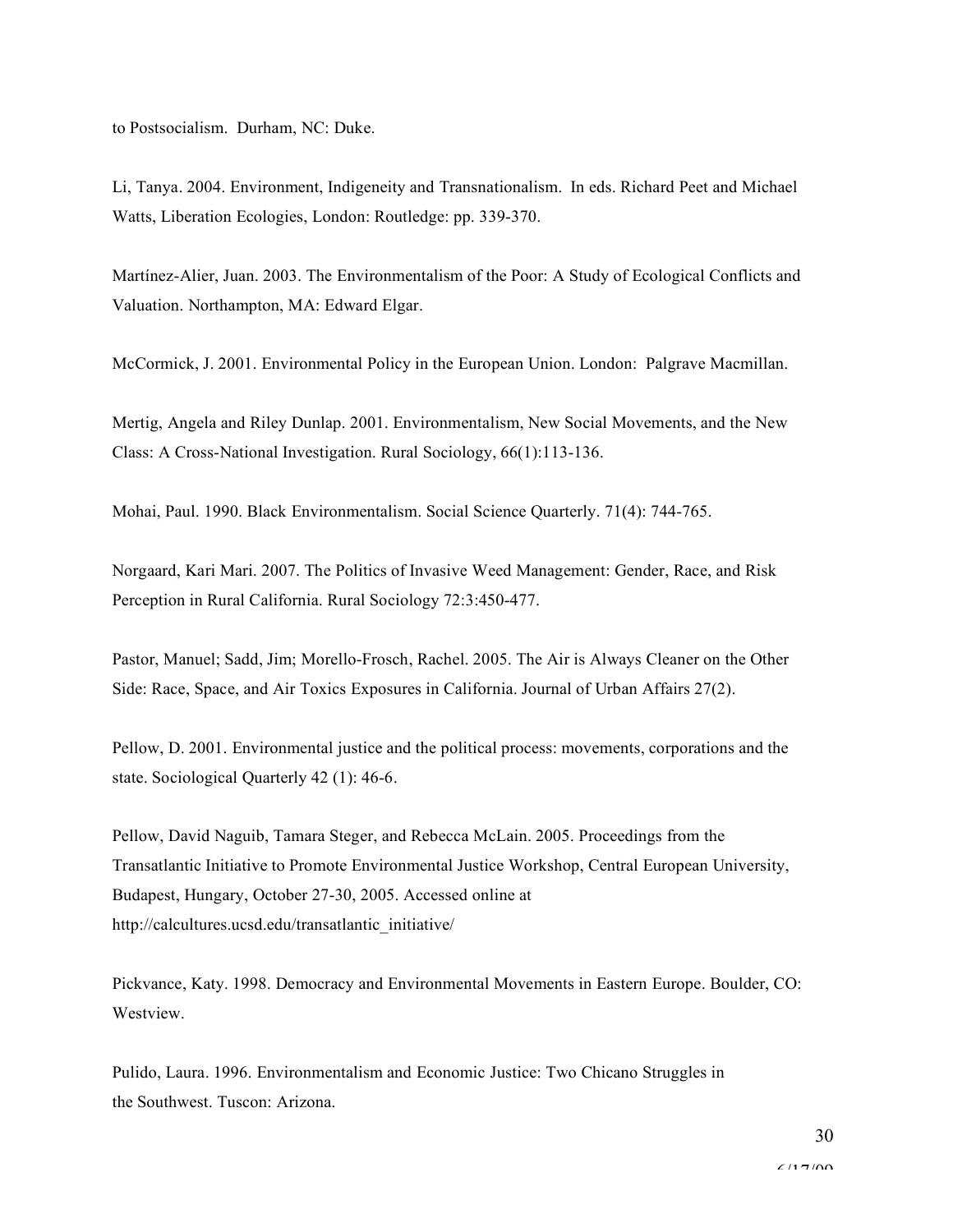to Postsocialism. Durham, NC: Duke.

Li, Tanya. 2004. Environment, Indigeneity and Transnationalism. In eds. Richard Peet and Michael Watts, Liberation Ecologies, London: Routledge: pp. 339-370.

Martínez-Alier, Juan. 2003. The Environmentalism of the Poor: A Study of Ecological Conflicts and Valuation. Northampton, MA: Edward Elgar.

McCormick, J. 2001. Environmental Policy in the European Union. London: Palgrave Macmillan.

Mertig, Angela and Riley Dunlap. 2001. Environmentalism, New Social Movements, and the New Class: A Cross-National Investigation. Rural Sociology, 66(1):113-136.

Mohai, Paul. 1990. Black Environmentalism. Social Science Quarterly. 71(4): 744-765.

Norgaard, Kari Mari. 2007. The Politics of Invasive Weed Management: Gender, Race, and Risk Perception in Rural California. Rural Sociology 72:3:450-477.

Pastor, Manuel; Sadd, Jim; Morello-Frosch, Rachel. 2005. The Air is Always Cleaner on the Other Side: Race, Space, and Air Toxics Exposures in California. Journal of Urban Affairs 27(2).

Pellow, D. 2001. Environmental justice and the political process: movements, corporations and the state. Sociological Quarterly 42 (1): 46-6.

Pellow, David Naguib, Tamara Steger, and Rebecca McLain. 2005. Proceedings from the Transatlantic Initiative to Promote Environmental Justice Workshop, Central European University, Budapest, Hungary, October 27-30, 2005. Accessed online at http://calcultures.ucsd.edu/transatlantic\_initiative/

Pickvance, Katy. 1998. Democracy and Environmental Movements in Eastern Europe. Boulder, CO: **Westview.** 

Pulido, Laura. 1996. Environmentalism and Economic Justice: Two Chicano Struggles in the Southwest. Tuscon: Arizona.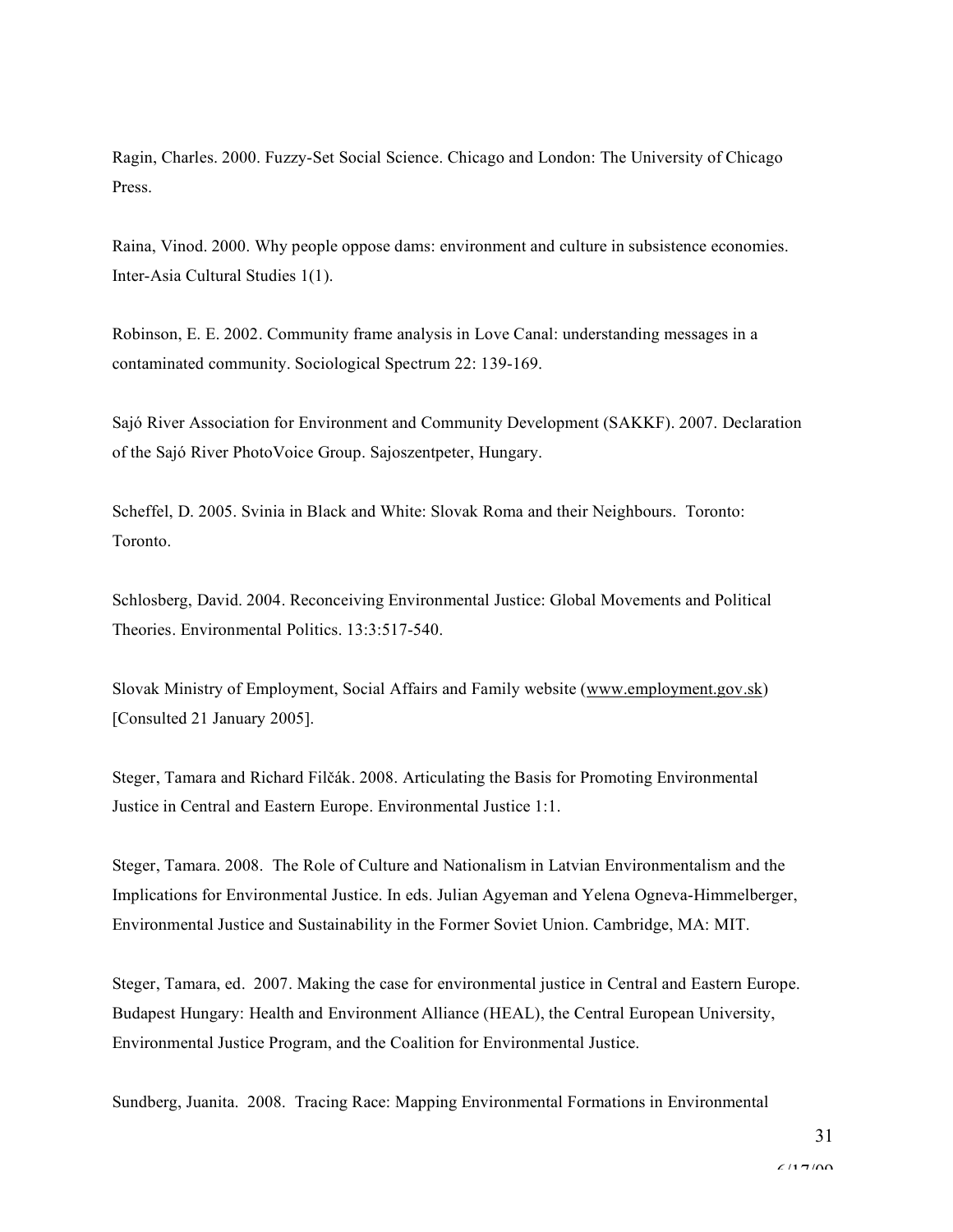Ragin, Charles. 2000. Fuzzy-Set Social Science. Chicago and London: The University of Chicago Press.

Raina, Vinod. 2000. Why people oppose dams: environment and culture in subsistence economies. Inter-Asia Cultural Studies 1(1).

Robinson, E. E. 2002. Community frame analysis in Love Canal: understanding messages in a contaminated community. Sociological Spectrum 22: 139-169.

Sajó River Association for Environment and Community Development (SAKKF). 2007. Declaration of the Sajó River PhotoVoice Group. Sajoszentpeter, Hungary.

Scheffel, D. 2005. Svinia in Black and White: Slovak Roma and their Neighbours. Toronto: Toronto.

Schlosberg, David. 2004. Reconceiving Environmental Justice: Global Movements and Political Theories. Environmental Politics. 13:3:517-540.

Slovak Ministry of Employment, Social Affairs and Family website (www.employment.gov.sk) [Consulted 21 January 2005].

Steger, Tamara and Richard Filčák. 2008. Articulating the Basis for Promoting Environmental Justice in Central and Eastern Europe. Environmental Justice 1:1.

Steger, Tamara. 2008. The Role of Culture and Nationalism in Latvian Environmentalism and the Implications for Environmental Justice. In eds. Julian Agyeman and Yelena Ogneva-Himmelberger, Environmental Justice and Sustainability in the Former Soviet Union. Cambridge, MA: MIT.

Steger, Tamara, ed. 2007. Making the case for environmental justice in Central and Eastern Europe. Budapest Hungary: Health and Environment Alliance (HEAL), the Central European University, Environmental Justice Program, and the Coalition for Environmental Justice.

Sundberg, Juanita. 2008. Tracing Race: Mapping Environmental Formations in Environmental